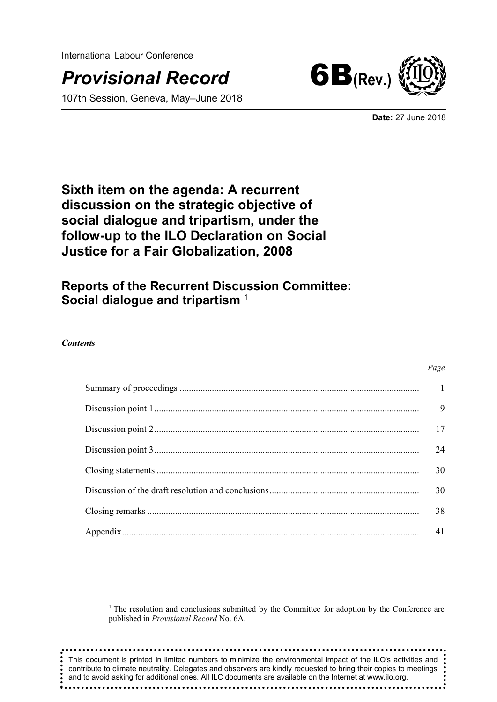International Labour Conference

# *Provisional Record* 6B**(Rev.)**

107th Session, Geneva, May–June 2018



**Date:** 27 June 2018

# **Sixth item on the agenda: A recurrent discussion on the strategic objective of social dialogue and tripartism, under the follow-up to the ILO Declaration on Social Justice for a Fair Globalization, 2008**

# **Reports of the Recurrent Discussion Committee: Social dialogue and tripartism** <sup>1</sup>

#### *Contents*

# *Page* Summary of proceedings [........................................................................................................](#page-2-0) 1 [Discussion point 1...................................................................................................................](#page-10-0) 9 [Discussion point 2...................................................................................................................](#page-18-0) 17 [Discussion point 3...................................................................................................................](#page-25-0) 24 Closing statements [..................................................................................................................](#page-31-0) 30 [Discussion of the draft resolution and conclusions.................................................................](#page-31-1) 30 Closing remarks [......................................................................................................................](#page-39-0) 38 [Appendix.................................................................................................................................](#page-41-0) 41

<sup>1</sup> The resolution and conclusions submitted by the Committee for adoption by the Conference are published in *Provisional Record* No. 6A.

This document is printed in limited numbers to minimize the environmental impact of the ILO's activities and contribute to climate neutrality. Delegates and observers are kindly requested to bring their copies to meetings  $\cdot$ and to avoid asking for additional ones. All ILC documents are available on the Internet at www.ilo.org.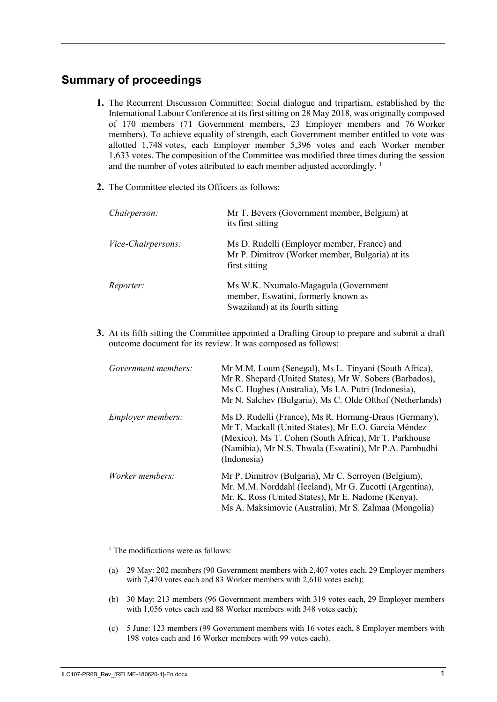# <span id="page-2-0"></span>**Summary of proceedings**

- **1.** The Recurrent Discussion Committee: Social dialogue and tripartism, established by the International Labour Conference at its first sitting on 28 May 2018, was originally composed of 170 members (71 Government members, 23 Employer members and 76 Worker members). To achieve equality of strength, each Government member entitled to vote was allotted 1,748 votes, each Employer member 5,396 votes and each Worker member 1,633 votes. The composition of the Committee was modified three times during the session and the number of votes attributed to each member adjusted accordingly.<sup>1</sup>
- **2.** The Committee elected its Officers as follows:

| Chairperson:              | Mr T. Bevers (Government member, Belgium) at<br>its first sitting                                               |
|---------------------------|-----------------------------------------------------------------------------------------------------------------|
| <i>Vice-Chairpersons:</i> | Ms D. Rudelli (Employer member, France) and<br>Mr P. Dimitrov (Worker member, Bulgaria) at its<br>first sitting |
| <i>Reporter:</i>          | Ms W.K. Nxumalo-Magagula (Government<br>member, Eswatini, formerly known as<br>Swaziland) at its fourth sitting |

**3.** At its fifth sitting the Committee appointed a Drafting Group to prepare and submit a draft outcome document for its review. It was composed as follows:

| Government members:      | Mr M.M. Loum (Senegal), Ms L. Tinyani (South Africa),<br>Mr R. Shepard (United States), Mr W. Sobers (Barbados),<br>Ms C. Hughes (Australia), Ms I.A. Putri (Indonesia),<br>Mr N. Salchev (Bulgaria), Ms C. Olde Olthof (Netherlands)            |
|--------------------------|--------------------------------------------------------------------------------------------------------------------------------------------------------------------------------------------------------------------------------------------------|
| <i>Employer members:</i> | Ms D. Rudelli (France), Ms R. Hornung-Draus (Germany),<br>Mr T. Mackall (United States), Mr E.O. García Méndez<br>(Mexico), Ms T. Cohen (South Africa), Mr T. Parkhouse<br>(Namibia), Mr N.S. Thwala (Eswatini), Mr P.A. Pambudhi<br>(Indonesia) |
| <i>Worker members:</i>   | Mr P. Dimitrov (Bulgaria), Mr C. Serroyen (Belgium),<br>Mr. M.M. Norddahl (Iceland), Mr G. Zucotti (Argentina),<br>Mr. K. Ross (United States), Mr E. Nadome (Kenya),<br>Ms A. Maksimovic (Australia), Mr S. Zalmaa (Mongolia)                   |

<sup>1</sup> The modifications were as follows:

- (a) 29 May: 202 members (90 Government members with 2,407 votes each, 29 Employer members with 7,470 votes each and 83 Worker members with 2,610 votes each);
- (b) 30 May: 213 members (96 Government members with 319 votes each, 29 Employer members with 1,056 votes each and 88 Worker members with 348 votes each);
- (c) 5 June: 123 members (99 Government members with 16 votes each, 8 Employer members with 198 votes each and 16 Worker members with 99 votes each).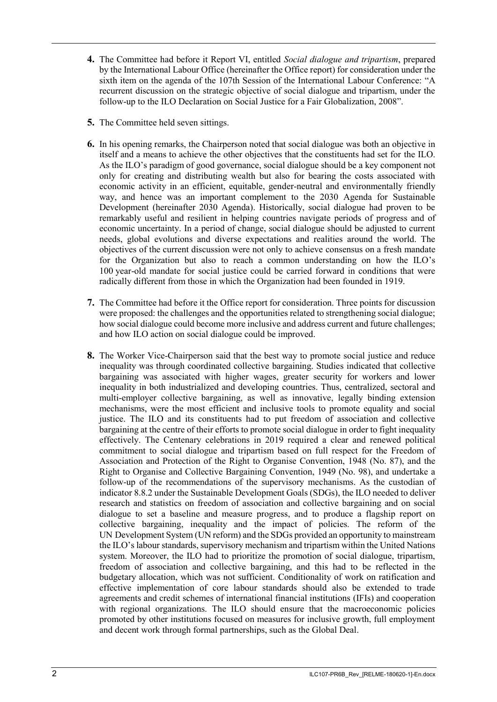- **4.** The Committee had before it Report VI, entitled *Social dialogue and tripartism*, prepared by the International Labour Office (hereinafter the Office report) for consideration under the sixth item on the agenda of the 107th Session of the International Labour Conference: "A recurrent discussion on the strategic objective of social dialogue and tripartism, under the follow-up to the ILO Declaration on Social Justice for a Fair Globalization, 2008".
- **5.** The Committee held seven sittings.
- **6.** In his opening remarks, the Chairperson noted that social dialogue was both an objective in itself and a means to achieve the other objectives that the constituents had set for the ILO. As the ILO's paradigm of good governance, social dialogue should be a key component not only for creating and distributing wealth but also for bearing the costs associated with economic activity in an efficient, equitable, gender-neutral and environmentally friendly way, and hence was an important complement to the 2030 Agenda for Sustainable Development (hereinafter 2030 Agenda). Historically, social dialogue had proven to be remarkably useful and resilient in helping countries navigate periods of progress and of economic uncertainty. In a period of change, social dialogue should be adjusted to current needs, global evolutions and diverse expectations and realities around the world. The objectives of the current discussion were not only to achieve consensus on a fresh mandate for the Organization but also to reach a common understanding on how the ILO's 100 year-old mandate for social justice could be carried forward in conditions that were radically different from those in which the Organization had been founded in 1919.
- **7.** The Committee had before it the Office report for consideration. Three points for discussion were proposed: the challenges and the opportunities related to strengthening social dialogue; how social dialogue could become more inclusive and address current and future challenges; and how ILO action on social dialogue could be improved.
- **8.** The Worker Vice-Chairperson said that the best way to promote social justice and reduce inequality was through coordinated collective bargaining. Studies indicated that collective bargaining was associated with higher wages, greater security for workers and lower inequality in both industrialized and developing countries. Thus, centralized, sectoral and multi-employer collective bargaining, as well as innovative, legally binding extension mechanisms, were the most efficient and inclusive tools to promote equality and social justice. The ILO and its constituents had to put freedom of association and collective bargaining at the centre of their efforts to promote social dialogue in order to fight inequality effectively. The Centenary celebrations in 2019 required a clear and renewed political commitment to social dialogue and tripartism based on full respect for the Freedom of Association and Protection of the Right to Organise Convention, 1948 (No. 87), and the Right to Organise and Collective Bargaining Convention, 1949 (No. 98), and undertake a follow-up of the recommendations of the supervisory mechanisms. As the custodian of indicator 8.8.2 under the Sustainable Development Goals (SDGs), the ILO needed to deliver research and statistics on freedom of association and collective bargaining and on social dialogue to set a baseline and measure progress, and to produce a flagship report on collective bargaining, inequality and the impact of policies. The reform of the UN Development System (UN reform) and the SDGs provided an opportunity to mainstream the ILO's labour standards, supervisory mechanism and tripartism within the United Nations system. Moreover, the ILO had to prioritize the promotion of social dialogue, tripartism, freedom of association and collective bargaining, and this had to be reflected in the budgetary allocation, which was not sufficient. Conditionality of work on ratification and effective implementation of core labour standards should also be extended to trade agreements and credit schemes of international financial institutions (IFIs) and cooperation with regional organizations. The ILO should ensure that the macroeconomic policies promoted by other institutions focused on measures for inclusive growth, full employment and decent work through formal partnerships, such as the Global Deal.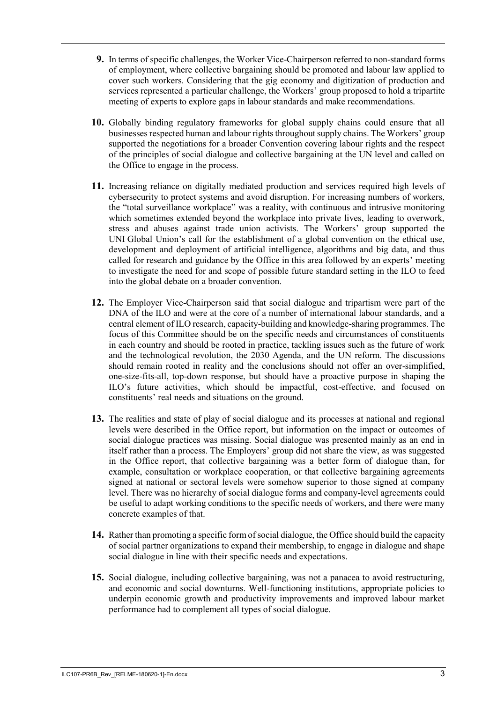- **9.** In terms of specific challenges, the Worker Vice-Chairperson referred to non-standard forms of employment, where collective bargaining should be promoted and labour law applied to cover such workers. Considering that the gig economy and digitization of production and services represented a particular challenge, the Workers' group proposed to hold a tripartite meeting of experts to explore gaps in labour standards and make recommendations.
- **10.** Globally binding regulatory frameworks for global supply chains could ensure that all businesses respected human and labour rights throughout supply chains. The Workers' group supported the negotiations for a broader Convention covering labour rights and the respect of the principles of social dialogue and collective bargaining at the UN level and called on the Office to engage in the process.
- **11.** Increasing reliance on digitally mediated production and services required high levels of cybersecurity to protect systems and avoid disruption. For increasing numbers of workers, the "total surveillance workplace" was a reality, with continuous and intrusive monitoring which sometimes extended beyond the workplace into private lives, leading to overwork, stress and abuses against trade union activists. The Workers' group supported the UNI Global Union's call for the establishment of a global convention on the ethical use, development and deployment of artificial intelligence, algorithms and big data, and thus called for research and guidance by the Office in this area followed by an experts' meeting to investigate the need for and scope of possible future standard setting in the ILO to feed into the global debate on a broader convention.
- **12.** The Employer Vice-Chairperson said that social dialogue and tripartism were part of the DNA of the ILO and were at the core of a number of international labour standards, and a central element of ILO research, capacity-building and knowledge-sharing programmes. The focus of this Committee should be on the specific needs and circumstances of constituents in each country and should be rooted in practice, tackling issues such as the future of work and the technological revolution, the 2030 Agenda, and the UN reform. The discussions should remain rooted in reality and the conclusions should not offer an over-simplified, one-size-fits-all, top-down response, but should have a proactive purpose in shaping the ILO's future activities, which should be impactful, cost-effective, and focused on constituents' real needs and situations on the ground.
- **13.** The realities and state of play of social dialogue and its processes at national and regional levels were described in the Office report, but information on the impact or outcomes of social dialogue practices was missing. Social dialogue was presented mainly as an end in itself rather than a process. The Employers' group did not share the view, as was suggested in the Office report, that collective bargaining was a better form of dialogue than, for example, consultation or workplace cooperation, or that collective bargaining agreements signed at national or sectoral levels were somehow superior to those signed at company level. There was no hierarchy of social dialogue forms and company-level agreements could be useful to adapt working conditions to the specific needs of workers, and there were many concrete examples of that.
- **14.** Rather than promoting a specific form of social dialogue, the Office should build the capacity of social partner organizations to expand their membership, to engage in dialogue and shape social dialogue in line with their specific needs and expectations.
- **15.** Social dialogue, including collective bargaining, was not a panacea to avoid restructuring, and economic and social downturns. Well-functioning institutions, appropriate policies to underpin economic growth and productivity improvements and improved labour market performance had to complement all types of social dialogue.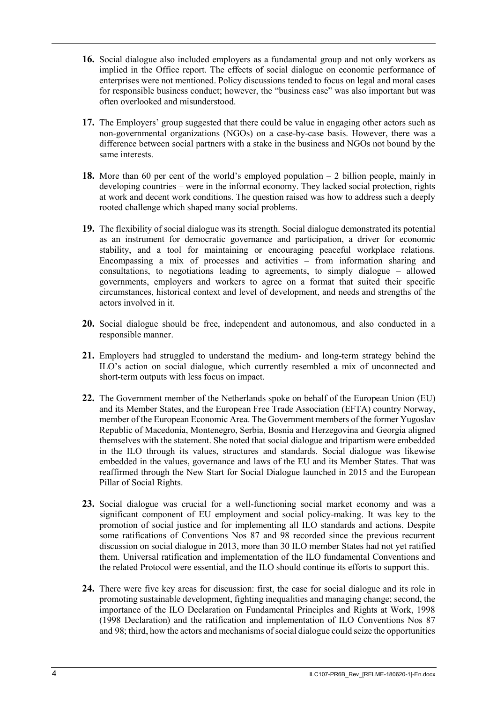- **16.** Social dialogue also included employers as a fundamental group and not only workers as implied in the Office report. The effects of social dialogue on economic performance of enterprises were not mentioned. Policy discussions tended to focus on legal and moral cases for responsible business conduct; however, the "business case" was also important but was often overlooked and misunderstood.
- **17.** The Employers' group suggested that there could be value in engaging other actors such as non-governmental organizations (NGOs) on a case-by-case basis. However, there was a difference between social partners with a stake in the business and NGOs not bound by the same interests.
- **18.** More than 60 per cent of the world's employed population 2 billion people, mainly in developing countries – were in the informal economy. They lacked social protection, rights at work and decent work conditions. The question raised was how to address such a deeply rooted challenge which shaped many social problems.
- **19.** The flexibility of social dialogue was its strength. Social dialogue demonstrated its potential as an instrument for democratic governance and participation, a driver for economic stability, and a tool for maintaining or encouraging peaceful workplace relations. Encompassing a mix of processes and activities – from information sharing and consultations, to negotiations leading to agreements, to simply dialogue – allowed governments, employers and workers to agree on a format that suited their specific circumstances, historical context and level of development, and needs and strengths of the actors involved in it.
- **20.** Social dialogue should be free, independent and autonomous, and also conducted in a responsible manner.
- **21.** Employers had struggled to understand the medium- and long-term strategy behind the ILO's action on social dialogue, which currently resembled a mix of unconnected and short-term outputs with less focus on impact.
- **22.** The Government member of the Netherlands spoke on behalf of the European Union (EU) and its Member States, and the European Free Trade Association (EFTA) country Norway, member of the European Economic Area. The Government members of the former Yugoslav Republic of Macedonia, Montenegro, Serbia, Bosnia and Herzegovina and Georgia aligned themselves with the statement. She noted that social dialogue and tripartism were embedded in the ILO through its values, structures and standards. Social dialogue was likewise embedded in the values, governance and laws of the EU and its Member States. That was reaffirmed through the New Start for Social Dialogue launched in 2015 and the European Pillar of Social Rights.
- **23.** Social dialogue was crucial for a well-functioning social market economy and was a significant component of EU employment and social policy-making. It was key to the promotion of social justice and for implementing all ILO standards and actions. Despite some ratifications of Conventions Nos 87 and 98 recorded since the previous recurrent discussion on social dialogue in 2013, more than 30 ILO member States had not yet ratified them. Universal ratification and implementation of the ILO fundamental Conventions and the related Protocol were essential, and the ILO should continue its efforts to support this.
- **24.** There were five key areas for discussion: first, the case for social dialogue and its role in promoting sustainable development, fighting inequalities and managing change; second, the importance of the ILO Declaration on Fundamental Principles and Rights at Work, 1998 (1998 Declaration) and the ratification and implementation of ILO Conventions Nos 87 and 98; third, how the actors and mechanisms of social dialogue could seize the opportunities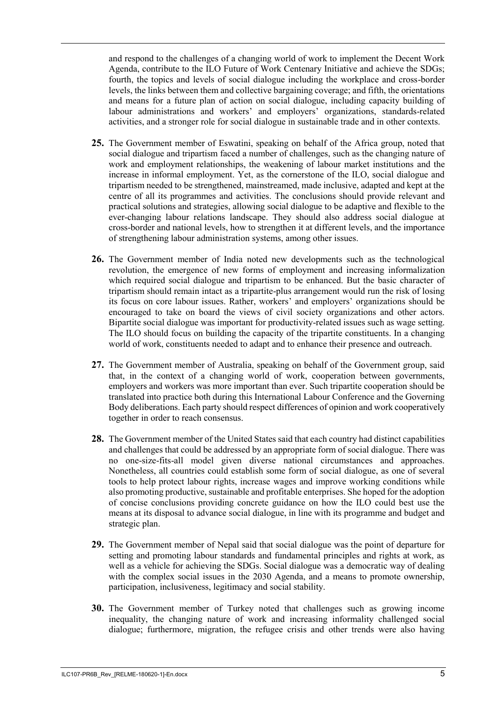and respond to the challenges of a changing world of work to implement the Decent Work Agenda, contribute to the ILO Future of Work Centenary Initiative and achieve the SDGs; fourth, the topics and levels of social dialogue including the workplace and cross-border levels, the links between them and collective bargaining coverage; and fifth, the orientations and means for a future plan of action on social dialogue, including capacity building of labour administrations and workers' and employers' organizations, standards-related activities, and a stronger role for social dialogue in sustainable trade and in other contexts.

- **25.** The Government member of Eswatini, speaking on behalf of the Africa group, noted that social dialogue and tripartism faced a number of challenges, such as the changing nature of work and employment relationships, the weakening of labour market institutions and the increase in informal employment. Yet, as the cornerstone of the ILO, social dialogue and tripartism needed to be strengthened, mainstreamed, made inclusive, adapted and kept at the centre of all its programmes and activities. The conclusions should provide relevant and practical solutions and strategies, allowing social dialogue to be adaptive and flexible to the ever-changing labour relations landscape. They should also address social dialogue at cross-border and national levels, how to strengthen it at different levels, and the importance of strengthening labour administration systems, among other issues.
- **26.** The Government member of India noted new developments such as the technological revolution, the emergence of new forms of employment and increasing informalization which required social dialogue and tripartism to be enhanced. But the basic character of tripartism should remain intact as a tripartite-plus arrangement would run the risk of losing its focus on core labour issues. Rather, workers' and employers' organizations should be encouraged to take on board the views of civil society organizations and other actors. Bipartite social dialogue was important for productivity-related issues such as wage setting. The ILO should focus on building the capacity of the tripartite constituents. In a changing world of work, constituents needed to adapt and to enhance their presence and outreach.
- **27.** The Government member of Australia, speaking on behalf of the Government group, said that, in the context of a changing world of work, cooperation between governments, employers and workers was more important than ever. Such tripartite cooperation should be translated into practice both during this International Labour Conference and the Governing Body deliberations. Each party should respect differences of opinion and work cooperatively together in order to reach consensus.
- **28.** The Government member of the United States said that each country had distinct capabilities and challenges that could be addressed by an appropriate form of social dialogue. There was no one-size-fits-all model given diverse national circumstances and approaches. Nonetheless, all countries could establish some form of social dialogue, as one of several tools to help protect labour rights, increase wages and improve working conditions while also promoting productive, sustainable and profitable enterprises. She hoped for the adoption of concise conclusions providing concrete guidance on how the ILO could best use the means at its disposal to advance social dialogue, in line with its programme and budget and strategic plan.
- **29.** The Government member of Nepal said that social dialogue was the point of departure for setting and promoting labour standards and fundamental principles and rights at work, as well as a vehicle for achieving the SDGs. Social dialogue was a democratic way of dealing with the complex social issues in the 2030 Agenda, and a means to promote ownership, participation, inclusiveness, legitimacy and social stability.
- **30.** The Government member of Turkey noted that challenges such as growing income inequality, the changing nature of work and increasing informality challenged social dialogue; furthermore, migration, the refugee crisis and other trends were also having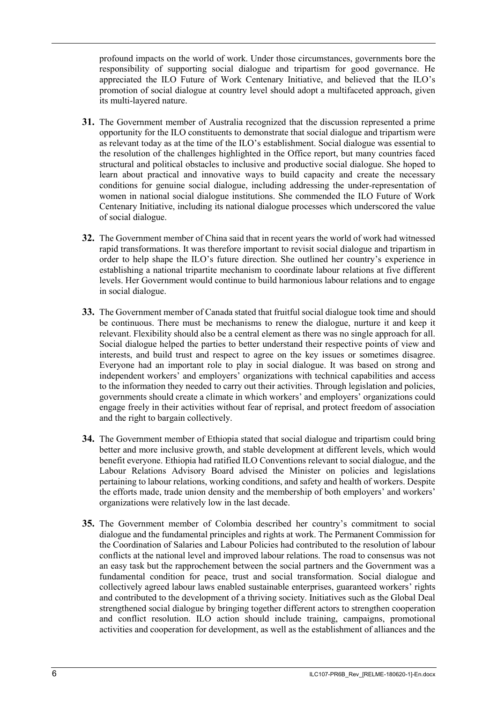profound impacts on the world of work. Under those circumstances, governments bore the responsibility of supporting social dialogue and tripartism for good governance. He appreciated the ILO Future of Work Centenary Initiative, and believed that the ILO's promotion of social dialogue at country level should adopt a multifaceted approach, given its multi-layered nature.

- **31.** The Government member of Australia recognized that the discussion represented a prime opportunity for the ILO constituents to demonstrate that social dialogue and tripartism were as relevant today as at the time of the ILO's establishment. Social dialogue was essential to the resolution of the challenges highlighted in the Office report, but many countries faced structural and political obstacles to inclusive and productive social dialogue. She hoped to learn about practical and innovative ways to build capacity and create the necessary conditions for genuine social dialogue, including addressing the under-representation of women in national social dialogue institutions. She commended the ILO Future of Work Centenary Initiative, including its national dialogue processes which underscored the value of social dialogue.
- **32.** The Government member of China said that in recent years the world of work had witnessed rapid transformations. It was therefore important to revisit social dialogue and tripartism in order to help shape the ILO's future direction. She outlined her country's experience in establishing a national tripartite mechanism to coordinate labour relations at five different levels. Her Government would continue to build harmonious labour relations and to engage in social dialogue.
- **33.** The Government member of Canada stated that fruitful social dialogue took time and should be continuous. There must be mechanisms to renew the dialogue, nurture it and keep it relevant. Flexibility should also be a central element as there was no single approach for all. Social dialogue helped the parties to better understand their respective points of view and interests, and build trust and respect to agree on the key issues or sometimes disagree. Everyone had an important role to play in social dialogue. It was based on strong and independent workers' and employers' organizations with technical capabilities and access to the information they needed to carry out their activities. Through legislation and policies, governments should create a climate in which workers' and employers' organizations could engage freely in their activities without fear of reprisal, and protect freedom of association and the right to bargain collectively.
- **34.** The Government member of Ethiopia stated that social dialogue and tripartism could bring better and more inclusive growth, and stable development at different levels, which would benefit everyone. Ethiopia had ratified ILO Conventions relevant to social dialogue, and the Labour Relations Advisory Board advised the Minister on policies and legislations pertaining to labour relations, working conditions, and safety and health of workers. Despite the efforts made, trade union density and the membership of both employers' and workers' organizations were relatively low in the last decade.
- **35.** The Government member of Colombia described her country's commitment to social dialogue and the fundamental principles and rights at work. The Permanent Commission for the Coordination of Salaries and Labour Policies had contributed to the resolution of labour conflicts at the national level and improved labour relations. The road to consensus was not an easy task but the rapprochement between the social partners and the Government was a fundamental condition for peace, trust and social transformation. Social dialogue and collectively agreed labour laws enabled sustainable enterprises, guaranteed workers' rights and contributed to the development of a thriving society. Initiatives such as the Global Deal strengthened social dialogue by bringing together different actors to strengthen cooperation and conflict resolution. ILO action should include training, campaigns, promotional activities and cooperation for development, as well as the establishment of alliances and the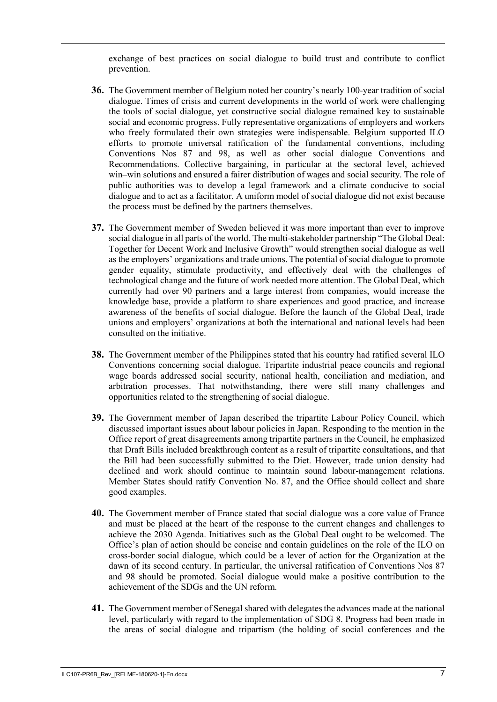exchange of best practices on social dialogue to build trust and contribute to conflict prevention.

- **36.** The Government member of Belgium noted her country's nearly 100-year tradition of social dialogue. Times of crisis and current developments in the world of work were challenging the tools of social dialogue, yet constructive social dialogue remained key to sustainable social and economic progress. Fully representative organizations of employers and workers who freely formulated their own strategies were indispensable. Belgium supported ILO efforts to promote universal ratification of the fundamental conventions, including Conventions Nos 87 and 98, as well as other social dialogue Conventions and Recommendations. Collective bargaining, in particular at the sectoral level, achieved win–win solutions and ensured a fairer distribution of wages and social security. The role of public authorities was to develop a legal framework and a climate conducive to social dialogue and to act as a facilitator. A uniform model of social dialogue did not exist because the process must be defined by the partners themselves.
- **37.** The Government member of Sweden believed it was more important than ever to improve social dialogue in all parts of the world. The multi-stakeholder partnership "The Global Deal: Together for Decent Work and Inclusive Growth" would strengthen social dialogue as well as the employers' organizations and trade unions. The potential of social dialogue to promote gender equality, stimulate productivity, and effectively deal with the challenges of technological change and the future of work needed more attention. The Global Deal, which currently had over 90 partners and a large interest from companies, would increase the knowledge base, provide a platform to share experiences and good practice, and increase awareness of the benefits of social dialogue. Before the launch of the Global Deal, trade unions and employers' organizations at both the international and national levels had been consulted on the initiative.
- **38.** The Government member of the Philippines stated that his country had ratified several ILO Conventions concerning social dialogue. Tripartite industrial peace councils and regional wage boards addressed social security, national health, conciliation and mediation, and arbitration processes. That notwithstanding, there were still many challenges and opportunities related to the strengthening of social dialogue.
- **39.** The Government member of Japan described the tripartite Labour Policy Council, which discussed important issues about labour policies in Japan. Responding to the mention in the Office report of great disagreements among tripartite partners in the Council, he emphasized that Draft Bills included breakthrough content as a result of tripartite consultations, and that the Bill had been successfully submitted to the Diet. However, trade union density had declined and work should continue to maintain sound labour-management relations. Member States should ratify Convention No. 87, and the Office should collect and share good examples.
- **40.** The Government member of France stated that social dialogue was a core value of France and must be placed at the heart of the response to the current changes and challenges to achieve the 2030 Agenda. Initiatives such as the Global Deal ought to be welcomed. The Office's plan of action should be concise and contain guidelines on the role of the ILO on cross-border social dialogue, which could be a lever of action for the Organization at the dawn of its second century. In particular, the universal ratification of Conventions Nos 87 and 98 should be promoted. Social dialogue would make a positive contribution to the achievement of the SDGs and the UN reform.
- **41.** The Government member of Senegal shared with delegates the advances made at the national level, particularly with regard to the implementation of SDG 8. Progress had been made in the areas of social dialogue and tripartism (the holding of social conferences and the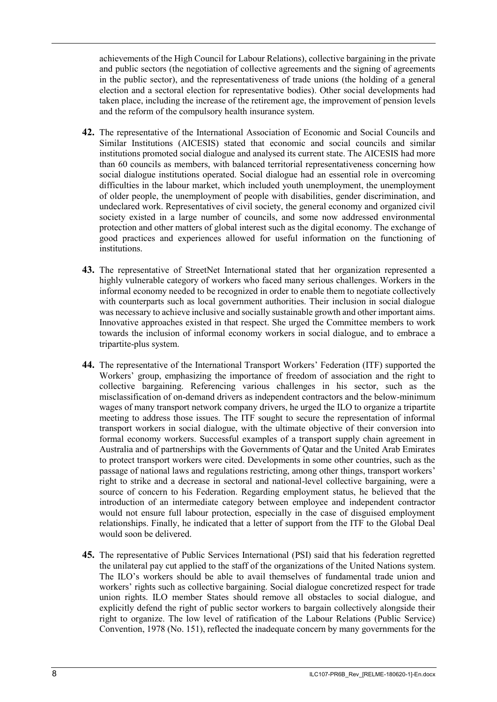achievements of the High Council for Labour Relations), collective bargaining in the private and public sectors (the negotiation of collective agreements and the signing of agreements in the public sector), and the representativeness of trade unions (the holding of a general election and a sectoral election for representative bodies). Other social developments had taken place, including the increase of the retirement age, the improvement of pension levels and the reform of the compulsory health insurance system.

- **42.** The representative of the International Association of Economic and Social Councils and Similar Institutions (AICESIS) stated that economic and social councils and similar institutions promoted social dialogue and analysed its current state. The AICESIS had more than 60 councils as members, with balanced territorial representativeness concerning how social dialogue institutions operated. Social dialogue had an essential role in overcoming difficulties in the labour market, which included youth unemployment, the unemployment of older people, the unemployment of people with disabilities, gender discrimination, and undeclared work. Representatives of civil society, the general economy and organized civil society existed in a large number of councils, and some now addressed environmental protection and other matters of global interest such as the digital economy. The exchange of good practices and experiences allowed for useful information on the functioning of institutions.
- **43.** The representative of StreetNet International stated that her organization represented a highly vulnerable category of workers who faced many serious challenges. Workers in the informal economy needed to be recognized in order to enable them to negotiate collectively with counterparts such as local government authorities. Their inclusion in social dialogue was necessary to achieve inclusive and socially sustainable growth and other important aims. Innovative approaches existed in that respect. She urged the Committee members to work towards the inclusion of informal economy workers in social dialogue, and to embrace a tripartite-plus system.
- **44.** The representative of the International Transport Workers' Federation (ITF) supported the Workers' group, emphasizing the importance of freedom of association and the right to collective bargaining. Referencing various challenges in his sector, such as the misclassification of on-demand drivers as independent contractors and the below-minimum wages of many transport network company drivers, he urged the ILO to organize a tripartite meeting to address those issues. The ITF sought to secure the representation of informal transport workers in social dialogue, with the ultimate objective of their conversion into formal economy workers. Successful examples of a transport supply chain agreement in Australia and of partnerships with the Governments of Qatar and the United Arab Emirates to protect transport workers were cited. Developments in some other countries, such as the passage of national laws and regulations restricting, among other things, transport workers' right to strike and a decrease in sectoral and national-level collective bargaining, were a source of concern to his Federation. Regarding employment status, he believed that the introduction of an intermediate category between employee and independent contractor would not ensure full labour protection, especially in the case of disguised employment relationships. Finally, he indicated that a letter of support from the ITF to the Global Deal would soon be delivered.
- **45.** The representative of Public Services International (PSI) said that his federation regretted the unilateral pay cut applied to the staff of the organizations of the United Nations system. The ILO's workers should be able to avail themselves of fundamental trade union and workers' rights such as collective bargaining. Social dialogue concretized respect for trade union rights. ILO member States should remove all obstacles to social dialogue, and explicitly defend the right of public sector workers to bargain collectively alongside their right to organize. The low level of ratification of the Labour Relations (Public Service) Convention, 1978 (No. 151), reflected the inadequate concern by many governments for the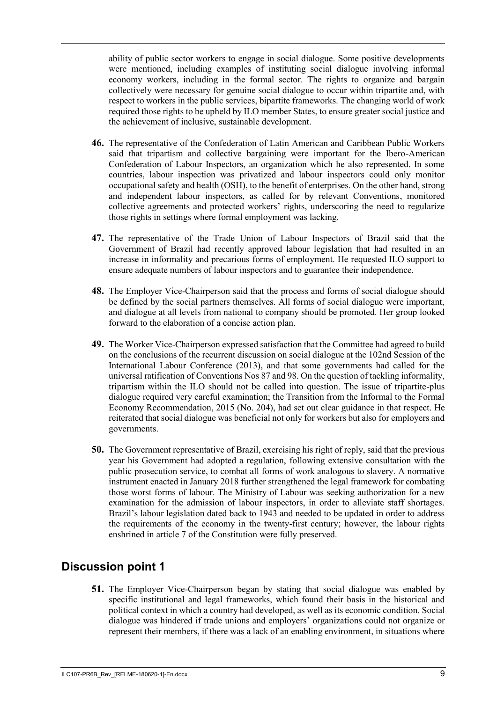ability of public sector workers to engage in social dialogue. Some positive developments were mentioned, including examples of instituting social dialogue involving informal economy workers, including in the formal sector. The rights to organize and bargain collectively were necessary for genuine social dialogue to occur within tripartite and, with respect to workers in the public services, bipartite frameworks. The changing world of work required those rights to be upheld by ILO member States, to ensure greater social justice and the achievement of inclusive, sustainable development.

- **46.** The representative of the Confederation of Latin American and Caribbean Public Workers said that tripartism and collective bargaining were important for the Ibero-American Confederation of Labour Inspectors, an organization which he also represented. In some countries, labour inspection was privatized and labour inspectors could only monitor occupational safety and health (OSH), to the benefit of enterprises. On the other hand, strong and independent labour inspectors, as called for by relevant Conventions, monitored collective agreements and protected workers' rights, underscoring the need to regularize those rights in settings where formal employment was lacking.
- **47.** The representative of the Trade Union of Labour Inspectors of Brazil said that the Government of Brazil had recently approved labour legislation that had resulted in an increase in informality and precarious forms of employment. He requested ILO support to ensure adequate numbers of labour inspectors and to guarantee their independence.
- **48.** The Employer Vice-Chairperson said that the process and forms of social dialogue should be defined by the social partners themselves. All forms of social dialogue were important, and dialogue at all levels from national to company should be promoted. Her group looked forward to the elaboration of a concise action plan.
- **49.** The Worker Vice-Chairperson expressed satisfaction that the Committee had agreed to build on the conclusions of the recurrent discussion on social dialogue at the 102nd Session of the International Labour Conference (2013), and that some governments had called for the universal ratification of Conventions Nos 87 and 98. On the question of tackling informality, tripartism within the ILO should not be called into question. The issue of tripartite-plus dialogue required very careful examination; the Transition from the Informal to the Formal Economy Recommendation, 2015 (No. 204), had set out clear guidance in that respect. He reiterated that social dialogue was beneficial not only for workers but also for employers and governments.
- **50.** The Government representative of Brazil, exercising his right of reply, said that the previous year his Government had adopted a regulation, following extensive consultation with the public prosecution service, to combat all forms of work analogous to slavery. A normative instrument enacted in January 2018 further strengthened the legal framework for combating those worst forms of labour. The Ministry of Labour was seeking authorization for a new examination for the admission of labour inspectors, in order to alleviate staff shortages. Brazil's labour legislation dated back to 1943 and needed to be updated in order to address the requirements of the economy in the twenty-first century; however, the labour rights enshrined in article 7 of the Constitution were fully preserved.

# <span id="page-10-0"></span>**Discussion point 1**

**51.** The Employer Vice-Chairperson began by stating that social dialogue was enabled by specific institutional and legal frameworks, which found their basis in the historical and political context in which a country had developed, as well as its economic condition. Social dialogue was hindered if trade unions and employers' organizations could not organize or represent their members, if there was a lack of an enabling environment, in situations where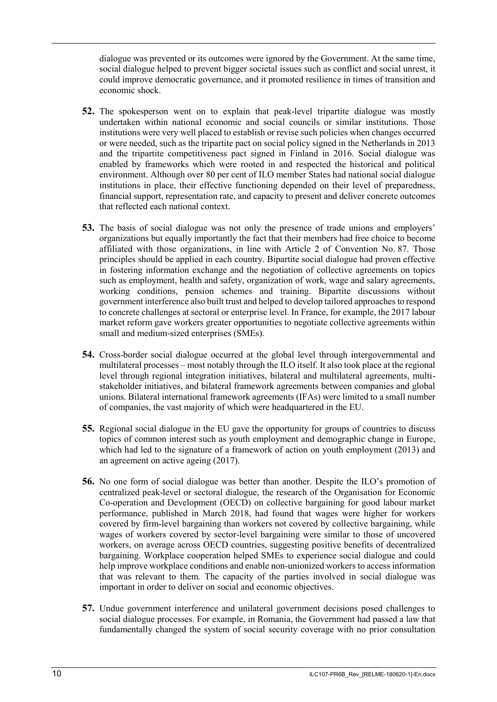dialogue was prevented or its outcomes were ignored by the Government. At the same time, social dialogue helped to prevent bigger societal issues such as conflict and social unrest, it could improve democratic governance, and it promoted resilience in times of transition and economic shock.

- **52.** The spokesperson went on to explain that peak-level tripartite dialogue was mostly undertaken within national economic and social councils or similar institutions. Those institutions were very well placed to establish or revise such policies when changes occurred or were needed, such as the tripartite pact on social policy signed in the Netherlands in 2013 and the tripartite competitiveness pact signed in Finland in 2016. Social dialogue was enabled by frameworks which were rooted in and respected the historical and political environment. Although over 80 per cent of ILO member States had national social dialogue institutions in place, their effective functioning depended on their level of preparedness, financial support, representation rate, and capacity to present and deliver concrete outcomes that reflected each national context.
- **53.** The basis of social dialogue was not only the presence of trade unions and employers' organizations but equally importantly the fact that their members had free choice to become affiliated with those organizations, in line with Article 2 of Convention No. 87. Those principles should be applied in each country. Bipartite social dialogue had proven effective in fostering information exchange and the negotiation of collective agreements on topics such as employment, health and safety, organization of work, wage and salary agreements, working conditions, pension schemes and training. Bipartite discussions without government interference also built trust and helped to develop tailored approaches to respond to concrete challenges at sectoral or enterprise level. In France, for example, the 2017 labour market reform gave workers greater opportunities to negotiate collective agreements within small and medium-sized enterprises (SMEs).
- **54.** Cross-border social dialogue occurred at the global level through intergovernmental and multilateral processes – most notably through the ILO itself. It also took place at the regional level through regional integration initiatives, bilateral and multilateral agreements, multistakeholder initiatives, and bilateral framework agreements between companies and global unions. Bilateral international framework agreements (IFAs) were limited to a small number of companies, the vast majority of which were headquartered in the EU.
- **55.** Regional social dialogue in the EU gave the opportunity for groups of countries to discuss topics of common interest such as youth employment and demographic change in Europe, which had led to the signature of a framework of action on youth employment (2013) and an agreement on active ageing (2017).
- **56.** No one form of social dialogue was better than another. Despite the ILO's promotion of centralized peak-level or sectoral dialogue, the research of the Organisation for Economic Co-operation and Development (OECD) on collective bargaining for good labour market performance, published in March 2018, had found that wages were higher for workers covered by firm-level bargaining than workers not covered by collective bargaining, while wages of workers covered by sector-level bargaining were similar to those of uncovered workers, on average across OECD countries, suggesting positive benefits of decentralized bargaining. Workplace cooperation helped SMEs to experience social dialogue and could help improve workplace conditions and enable non-unionized workers to access information that was relevant to them. The capacity of the parties involved in social dialogue was important in order to deliver on social and economic objectives.
- **57.** Undue government interference and unilateral government decisions posed challenges to social dialogue processes. For example, in Romania, the Government had passed a law that fundamentally changed the system of social security coverage with no prior consultation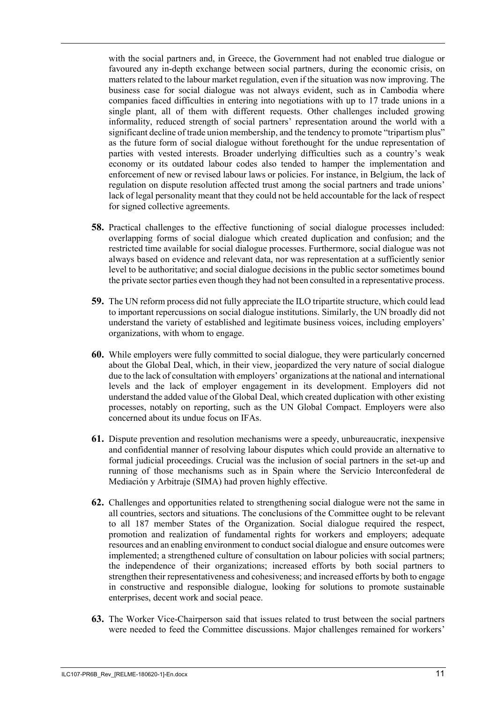with the social partners and, in Greece, the Government had not enabled true dialogue or favoured any in-depth exchange between social partners, during the economic crisis, on matters related to the labour market regulation, even if the situation was now improving. The business case for social dialogue was not always evident, such as in Cambodia where companies faced difficulties in entering into negotiations with up to 17 trade unions in a single plant, all of them with different requests. Other challenges included growing informality, reduced strength of social partners' representation around the world with a significant decline of trade union membership, and the tendency to promote "tripartism plus" as the future form of social dialogue without forethought for the undue representation of parties with vested interests. Broader underlying difficulties such as a country's weak economy or its outdated labour codes also tended to hamper the implementation and enforcement of new or revised labour laws or policies. For instance, in Belgium, the lack of regulation on dispute resolution affected trust among the social partners and trade unions' lack of legal personality meant that they could not be held accountable for the lack of respect for signed collective agreements.

- **58.** Practical challenges to the effective functioning of social dialogue processes included: overlapping forms of social dialogue which created duplication and confusion; and the restricted time available for social dialogue processes. Furthermore, social dialogue was not always based on evidence and relevant data, nor was representation at a sufficiently senior level to be authoritative; and social dialogue decisions in the public sector sometimes bound the private sector parties even though they had not been consulted in a representative process.
- **59.** The UN reform process did not fully appreciate the ILO tripartite structure, which could lead to important repercussions on social dialogue institutions. Similarly, the UN broadly did not understand the variety of established and legitimate business voices, including employers' organizations, with whom to engage.
- **60.** While employers were fully committed to social dialogue, they were particularly concerned about the Global Deal, which, in their view, jeopardized the very nature of social dialogue due to the lack of consultation with employers' organizations at the national and international levels and the lack of employer engagement in its development. Employers did not understand the added value of the Global Deal, which created duplication with other existing processes, notably on reporting, such as the UN Global Compact. Employers were also concerned about its undue focus on IFAs.
- **61.** Dispute prevention and resolution mechanisms were a speedy, unbureaucratic, inexpensive and confidential manner of resolving labour disputes which could provide an alternative to formal judicial proceedings. Crucial was the inclusion of social partners in the set-up and running of those mechanisms such as in Spain where the Servicio Interconfederal de Mediación y Arbitraje (SIMA) had proven highly effective.
- **62.** Challenges and opportunities related to strengthening social dialogue were not the same in all countries, sectors and situations. The conclusions of the Committee ought to be relevant to all 187 member States of the Organization. Social dialogue required the respect, promotion and realization of fundamental rights for workers and employers; adequate resources and an enabling environment to conduct social dialogue and ensure outcomes were implemented; a strengthened culture of consultation on labour policies with social partners; the independence of their organizations; increased efforts by both social partners to strengthen their representativeness and cohesiveness; and increased efforts by both to engage in constructive and responsible dialogue, looking for solutions to promote sustainable enterprises, decent work and social peace.
- **63.** The Worker Vice-Chairperson said that issues related to trust between the social partners were needed to feed the Committee discussions. Major challenges remained for workers'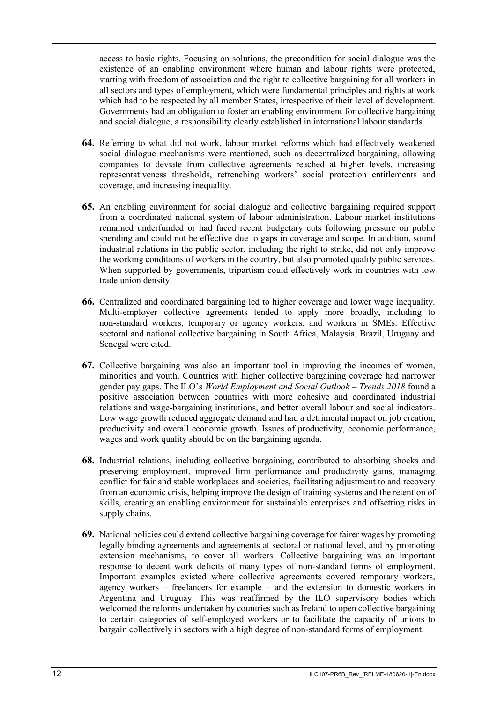access to basic rights. Focusing on solutions, the precondition for social dialogue was the existence of an enabling environment where human and labour rights were protected, starting with freedom of association and the right to collective bargaining for all workers in all sectors and types of employment, which were fundamental principles and rights at work which had to be respected by all member States, irrespective of their level of development. Governments had an obligation to foster an enabling environment for collective bargaining and social dialogue, a responsibility clearly established in international labour standards.

- **64.** Referring to what did not work, labour market reforms which had effectively weakened social dialogue mechanisms were mentioned, such as decentralized bargaining, allowing companies to deviate from collective agreements reached at higher levels, increasing representativeness thresholds, retrenching workers' social protection entitlements and coverage, and increasing inequality.
- **65.** An enabling environment for social dialogue and collective bargaining required support from a coordinated national system of labour administration. Labour market institutions remained underfunded or had faced recent budgetary cuts following pressure on public spending and could not be effective due to gaps in coverage and scope. In addition, sound industrial relations in the public sector, including the right to strike, did not only improve the working conditions of workers in the country, but also promoted quality public services. When supported by governments, tripartism could effectively work in countries with low trade union density.
- **66.** Centralized and coordinated bargaining led to higher coverage and lower wage inequality. Multi-employer collective agreements tended to apply more broadly, including to non-standard workers, temporary or agency workers, and workers in SMEs. Effective sectoral and national collective bargaining in South Africa, Malaysia, Brazil, Uruguay and Senegal were cited.
- **67.** Collective bargaining was also an important tool in improving the incomes of women, minorities and youth. Countries with higher collective bargaining coverage had narrower gender pay gaps. The ILO's *World Employment and Social Outlook – Trends 2018* found a positive association between countries with more cohesive and coordinated industrial relations and wage-bargaining institutions, and better overall labour and social indicators. Low wage growth reduced aggregate demand and had a detrimental impact on job creation, productivity and overall economic growth. Issues of productivity, economic performance, wages and work quality should be on the bargaining agenda.
- **68.** Industrial relations, including collective bargaining, contributed to absorbing shocks and preserving employment, improved firm performance and productivity gains, managing conflict for fair and stable workplaces and societies, facilitating adjustment to and recovery from an economic crisis, helping improve the design of training systems and the retention of skills, creating an enabling environment for sustainable enterprises and offsetting risks in supply chains.
- **69.** National policies could extend collective bargaining coverage for fairer wages by promoting legally binding agreements and agreements at sectoral or national level, and by promoting extension mechanisms, to cover all workers. Collective bargaining was an important response to decent work deficits of many types of non-standard forms of employment. Important examples existed where collective agreements covered temporary workers, agency workers – freelancers for example – and the extension to domestic workers in Argentina and Uruguay. This was reaffirmed by the ILO supervisory bodies which welcomed the reforms undertaken by countries such as Ireland to open collective bargaining to certain categories of self-employed workers or to facilitate the capacity of unions to bargain collectively in sectors with a high degree of non-standard forms of employment.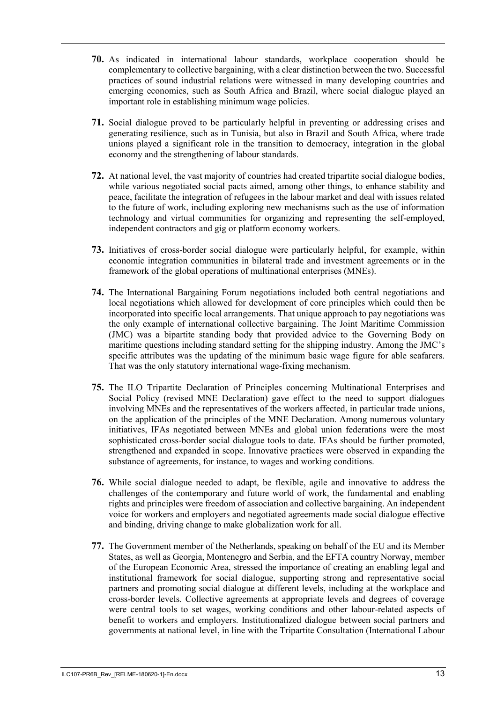- **70.** As indicated in international labour standards, workplace cooperation should be complementary to collective bargaining, with a clear distinction between the two. Successful practices of sound industrial relations were witnessed in many developing countries and emerging economies, such as South Africa and Brazil, where social dialogue played an important role in establishing minimum wage policies.
- **71.** Social dialogue proved to be particularly helpful in preventing or addressing crises and generating resilience, such as in Tunisia, but also in Brazil and South Africa, where trade unions played a significant role in the transition to democracy, integration in the global economy and the strengthening of labour standards.
- **72.** At national level, the vast majority of countries had created tripartite social dialogue bodies, while various negotiated social pacts aimed, among other things, to enhance stability and peace, facilitate the integration of refugees in the labour market and deal with issues related to the future of work, including exploring new mechanisms such as the use of information technology and virtual communities for organizing and representing the self-employed, independent contractors and gig or platform economy workers.
- **73.** Initiatives of cross-border social dialogue were particularly helpful, for example, within economic integration communities in bilateral trade and investment agreements or in the framework of the global operations of multinational enterprises (MNEs).
- **74.** The International Bargaining Forum negotiations included both central negotiations and local negotiations which allowed for development of core principles which could then be incorporated into specific local arrangements. That unique approach to pay negotiations was the only example of international collective bargaining. The Joint Maritime Commission (JMC) was a bipartite standing body that provided advice to the Governing Body on maritime questions including standard setting for the shipping industry. Among the JMC's specific attributes was the updating of the minimum basic wage figure for able seafarers. That was the only statutory international wage-fixing mechanism.
- **75.** The ILO Tripartite Declaration of Principles concerning Multinational Enterprises and Social Policy (revised MNE Declaration) gave effect to the need to support dialogues involving MNEs and the representatives of the workers affected, in particular trade unions, on the application of the principles of the MNE Declaration. Among numerous voluntary initiatives, IFAs negotiated between MNEs and global union federations were the most sophisticated cross-border social dialogue tools to date. IFAs should be further promoted, strengthened and expanded in scope. Innovative practices were observed in expanding the substance of agreements, for instance, to wages and working conditions.
- **76.** While social dialogue needed to adapt, be flexible, agile and innovative to address the challenges of the contemporary and future world of work, the fundamental and enabling rights and principles were freedom of association and collective bargaining. An independent voice for workers and employers and negotiated agreements made social dialogue effective and binding, driving change to make globalization work for all.
- **77.** The Government member of the Netherlands, speaking on behalf of the EU and its Member States, as well as Georgia, Montenegro and Serbia, and the EFTA country Norway, member of the European Economic Area, stressed the importance of creating an enabling legal and institutional framework for social dialogue, supporting strong and representative social partners and promoting social dialogue at different levels, including at the workplace and cross-border levels. Collective agreements at appropriate levels and degrees of coverage were central tools to set wages, working conditions and other labour-related aspects of benefit to workers and employers. Institutionalized dialogue between social partners and governments at national level, in line with the Tripartite Consultation (International Labour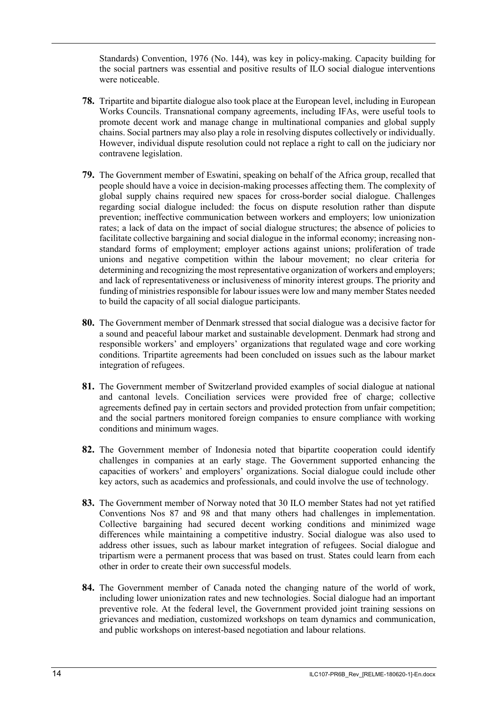Standards) Convention, 1976 (No. 144), was key in policy-making. Capacity building for the social partners was essential and positive results of ILO social dialogue interventions were noticeable.

- **78.** Tripartite and bipartite dialogue also took place at the European level, including in European Works Councils. Transnational company agreements, including IFAs, were useful tools to promote decent work and manage change in multinational companies and global supply chains. Social partners may also play a role in resolving disputes collectively or individually. However, individual dispute resolution could not replace a right to call on the judiciary nor contravene legislation.
- **79.** The Government member of Eswatini, speaking on behalf of the Africa group, recalled that people should have a voice in decision-making processes affecting them. The complexity of global supply chains required new spaces for cross-border social dialogue. Challenges regarding social dialogue included: the focus on dispute resolution rather than dispute prevention; ineffective communication between workers and employers; low unionization rates; a lack of data on the impact of social dialogue structures; the absence of policies to facilitate collective bargaining and social dialogue in the informal economy; increasing nonstandard forms of employment; employer actions against unions; proliferation of trade unions and negative competition within the labour movement; no clear criteria for determining and recognizing the most representative organization of workers and employers; and lack of representativeness or inclusiveness of minority interest groups. The priority and funding of ministries responsible for labour issues were low and many member States needed to build the capacity of all social dialogue participants.
- **80.** The Government member of Denmark stressed that social dialogue was a decisive factor for a sound and peaceful labour market and sustainable development. Denmark had strong and responsible workers' and employers' organizations that regulated wage and core working conditions. Tripartite agreements had been concluded on issues such as the labour market integration of refugees.
- **81.** The Government member of Switzerland provided examples of social dialogue at national and cantonal levels. Conciliation services were provided free of charge; collective agreements defined pay in certain sectors and provided protection from unfair competition; and the social partners monitored foreign companies to ensure compliance with working conditions and minimum wages.
- **82.** The Government member of Indonesia noted that bipartite cooperation could identify challenges in companies at an early stage. The Government supported enhancing the capacities of workers' and employers' organizations. Social dialogue could include other key actors, such as academics and professionals, and could involve the use of technology.
- **83.** The Government member of Norway noted that 30 ILO member States had not yet ratified Conventions Nos 87 and 98 and that many others had challenges in implementation. Collective bargaining had secured decent working conditions and minimized wage differences while maintaining a competitive industry. Social dialogue was also used to address other issues, such as labour market integration of refugees. Social dialogue and tripartism were a permanent process that was based on trust. States could learn from each other in order to create their own successful models.
- **84.** The Government member of Canada noted the changing nature of the world of work, including lower unionization rates and new technologies. Social dialogue had an important preventive role. At the federal level, the Government provided joint training sessions on grievances and mediation, customized workshops on team dynamics and communication, and public workshops on interest-based negotiation and labour relations.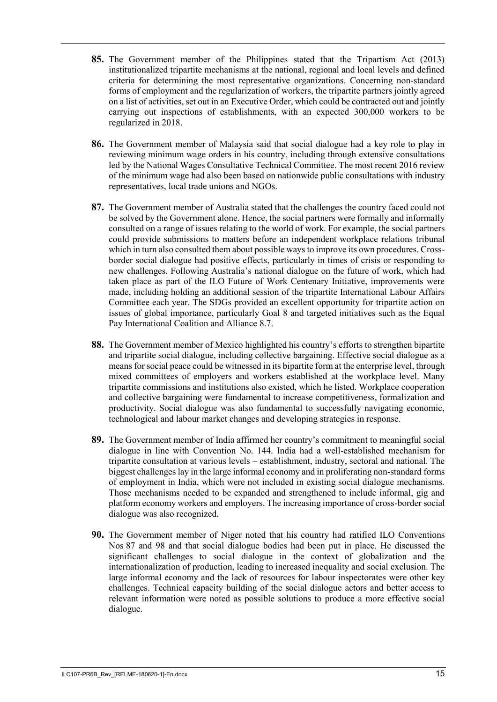- **85.** The Government member of the Philippines stated that the Tripartism Act (2013) institutionalized tripartite mechanisms at the national, regional and local levels and defined criteria for determining the most representative organizations. Concerning non-standard forms of employment and the regularization of workers, the tripartite partners jointly agreed on a list of activities, set out in an Executive Order, which could be contracted out and jointly carrying out inspections of establishments, with an expected 300,000 workers to be regularized in 2018.
- **86.** The Government member of Malaysia said that social dialogue had a key role to play in reviewing minimum wage orders in his country, including through extensive consultations led by the National Wages Consultative Technical Committee. The most recent 2016 review of the minimum wage had also been based on nationwide public consultations with industry representatives, local trade unions and NGOs.
- **87.** The Government member of Australia stated that the challenges the country faced could not be solved by the Government alone. Hence, the social partners were formally and informally consulted on a range of issues relating to the world of work. For example, the social partners could provide submissions to matters before an independent workplace relations tribunal which in turn also consulted them about possible ways to improve its own procedures. Crossborder social dialogue had positive effects, particularly in times of crisis or responding to new challenges. Following Australia's national dialogue on the future of work, which had taken place as part of the ILO Future of Work Centenary Initiative, improvements were made, including holding an additional session of the tripartite International Labour Affairs Committee each year. The SDGs provided an excellent opportunity for tripartite action on issues of global importance, particularly Goal 8 and targeted initiatives such as the Equal Pay International Coalition and Alliance 8.7.
- **88.** The Government member of Mexico highlighted his country's efforts to strengthen bipartite and tripartite social dialogue, including collective bargaining. Effective social dialogue as a means for social peace could be witnessed in its bipartite form at the enterprise level, through mixed committees of employers and workers established at the workplace level. Many tripartite commissions and institutions also existed, which he listed. Workplace cooperation and collective bargaining were fundamental to increase competitiveness, formalization and productivity. Social dialogue was also fundamental to successfully navigating economic, technological and labour market changes and developing strategies in response.
- **89.** The Government member of India affirmed her country's commitment to meaningful social dialogue in line with Convention No. 144. India had a well-established mechanism for tripartite consultation at various levels – establishment, industry, sectoral and national. The biggest challenges lay in the large informal economy and in proliferating non-standard forms of employment in India, which were not included in existing social dialogue mechanisms. Those mechanisms needed to be expanded and strengthened to include informal, gig and platform economy workers and employers. The increasing importance of cross-border social dialogue was also recognized.
- **90.** The Government member of Niger noted that his country had ratified ILO Conventions Nos 87 and 98 and that social dialogue bodies had been put in place. He discussed the significant challenges to social dialogue in the context of globalization and the internationalization of production, leading to increased inequality and social exclusion. The large informal economy and the lack of resources for labour inspectorates were other key challenges. Technical capacity building of the social dialogue actors and better access to relevant information were noted as possible solutions to produce a more effective social dialogue.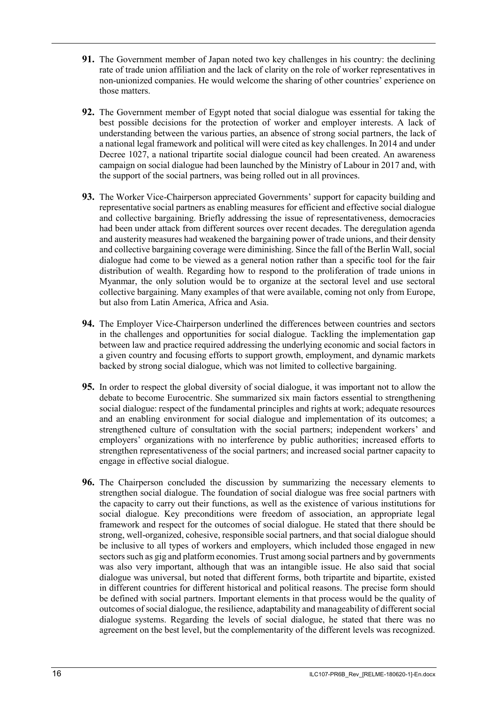- **91.** The Government member of Japan noted two key challenges in his country: the declining rate of trade union affiliation and the lack of clarity on the role of worker representatives in non-unionized companies. He would welcome the sharing of other countries' experience on those matters.
- **92.** The Government member of Egypt noted that social dialogue was essential for taking the best possible decisions for the protection of worker and employer interests. A lack of understanding between the various parties, an absence of strong social partners, the lack of a national legal framework and political will were cited as key challenges. In 2014 and under Decree 1027, a national tripartite social dialogue council had been created. An awareness campaign on social dialogue had been launched by the Ministry of Labour in 2017 and, with the support of the social partners, was being rolled out in all provinces.
- **93.** The Worker Vice-Chairperson appreciated Governments' support for capacity building and representative social partners as enabling measures for efficient and effective social dialogue and collective bargaining. Briefly addressing the issue of representativeness, democracies had been under attack from different sources over recent decades. The deregulation agenda and austerity measures had weakened the bargaining power of trade unions, and their density and collective bargaining coverage were diminishing. Since the fall of the Berlin Wall, social dialogue had come to be viewed as a general notion rather than a specific tool for the fair distribution of wealth. Regarding how to respond to the proliferation of trade unions in Myanmar, the only solution would be to organize at the sectoral level and use sectoral collective bargaining. Many examples of that were available, coming not only from Europe, but also from Latin America, Africa and Asia.
- **94.** The Employer Vice-Chairperson underlined the differences between countries and sectors in the challenges and opportunities for social dialogue. Tackling the implementation gap between law and practice required addressing the underlying economic and social factors in a given country and focusing efforts to support growth, employment, and dynamic markets backed by strong social dialogue, which was not limited to collective bargaining.
- **95.** In order to respect the global diversity of social dialogue, it was important not to allow the debate to become Eurocentric. She summarized six main factors essential to strengthening social dialogue: respect of the fundamental principles and rights at work; adequate resources and an enabling environment for social dialogue and implementation of its outcomes; a strengthened culture of consultation with the social partners; independent workers' and employers' organizations with no interference by public authorities; increased efforts to strengthen representativeness of the social partners; and increased social partner capacity to engage in effective social dialogue.
- **96.** The Chairperson concluded the discussion by summarizing the necessary elements to strengthen social dialogue. The foundation of social dialogue was free social partners with the capacity to carry out their functions, as well as the existence of various institutions for social dialogue. Key preconditions were freedom of association, an appropriate legal framework and respect for the outcomes of social dialogue. He stated that there should be strong, well-organized, cohesive, responsible social partners, and that social dialogue should be inclusive to all types of workers and employers, which included those engaged in new sectors such as gig and platform economies. Trust among social partners and by governments was also very important, although that was an intangible issue. He also said that social dialogue was universal, but noted that different forms, both tripartite and bipartite, existed in different countries for different historical and political reasons. The precise form should be defined with social partners. Important elements in that process would be the quality of outcomes of social dialogue, the resilience, adaptability and manageability of different social dialogue systems. Regarding the levels of social dialogue, he stated that there was no agreement on the best level, but the complementarity of the different levels was recognized.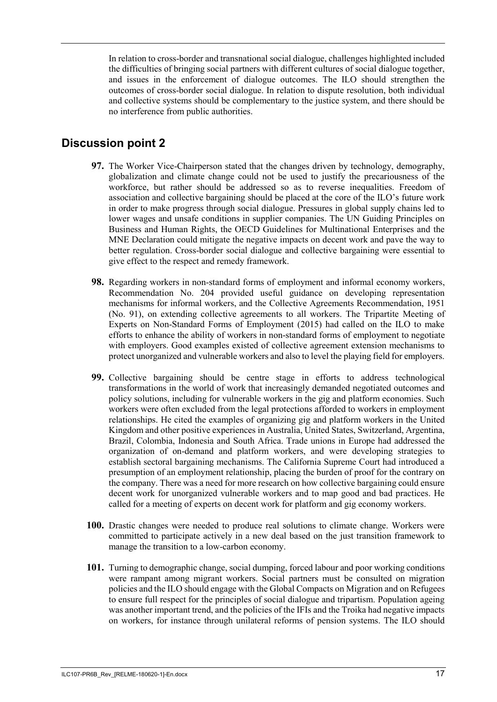In relation to cross-border and transnational social dialogue, challenges highlighted included the difficulties of bringing social partners with different cultures of social dialogue together, and issues in the enforcement of dialogue outcomes. The ILO should strengthen the outcomes of cross-border social dialogue. In relation to dispute resolution, both individual and collective systems should be complementary to the justice system, and there should be no interference from public authorities.

## <span id="page-18-0"></span>**Discussion point 2**

- **97.** The Worker Vice-Chairperson stated that the changes driven by technology, demography, globalization and climate change could not be used to justify the precariousness of the workforce, but rather should be addressed so as to reverse inequalities. Freedom of association and collective bargaining should be placed at the core of the ILO's future work in order to make progress through social dialogue. Pressures in global supply chains led to lower wages and unsafe conditions in supplier companies. The UN Guiding Principles on Business and Human Rights, the OECD Guidelines for Multinational Enterprises and the MNE Declaration could mitigate the negative impacts on decent work and pave the way to better regulation. Cross-border social dialogue and collective bargaining were essential to give effect to the respect and remedy framework.
- **98.** Regarding workers in non-standard forms of employment and informal economy workers, Recommendation No. 204 provided useful guidance on developing representation mechanisms for informal workers, and the Collective Agreements Recommendation, 1951 (No. 91), on extending collective agreements to all workers. The Tripartite Meeting of Experts on Non-Standard Forms of Employment (2015) had called on the ILO to make efforts to enhance the ability of workers in non-standard forms of employment to negotiate with employers. Good examples existed of collective agreement extension mechanisms to protect unorganized and vulnerable workers and also to level the playing field for employers.
- **99.** Collective bargaining should be centre stage in efforts to address technological transformations in the world of work that increasingly demanded negotiated outcomes and policy solutions, including for vulnerable workers in the gig and platform economies. Such workers were often excluded from the legal protections afforded to workers in employment relationships. He cited the examples of organizing gig and platform workers in the United Kingdom and other positive experiences in Australia, United States, Switzerland, Argentina, Brazil, Colombia, Indonesia and South Africa. Trade unions in Europe had addressed the organization of on-demand and platform workers, and were developing strategies to establish sectoral bargaining mechanisms. The California Supreme Court had introduced a presumption of an employment relationship, placing the burden of proof for the contrary on the company. There was a need for more research on how collective bargaining could ensure decent work for unorganized vulnerable workers and to map good and bad practices. He called for a meeting of experts on decent work for platform and gig economy workers.
- **100.** Drastic changes were needed to produce real solutions to climate change. Workers were committed to participate actively in a new deal based on the just transition framework to manage the transition to a low-carbon economy.
- **101.** Turning to demographic change, social dumping, forced labour and poor working conditions were rampant among migrant workers. Social partners must be consulted on migration policies and the ILO should engage with the Global Compacts on Migration and on Refugees to ensure full respect for the principles of social dialogue and tripartism. Population ageing was another important trend, and the policies of the IFIs and the Troika had negative impacts on workers, for instance through unilateral reforms of pension systems. The ILO should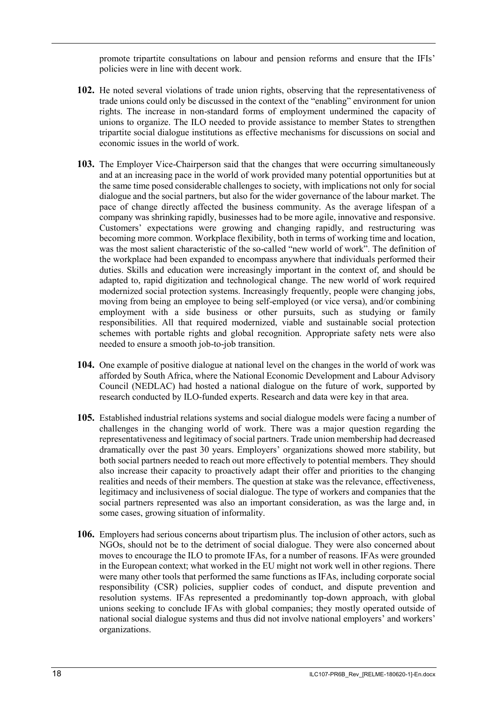promote tripartite consultations on labour and pension reforms and ensure that the IFIs' policies were in line with decent work.

- **102.** He noted several violations of trade union rights, observing that the representativeness of trade unions could only be discussed in the context of the "enabling" environment for union rights. The increase in non-standard forms of employment undermined the capacity of unions to organize. The ILO needed to provide assistance to member States to strengthen tripartite social dialogue institutions as effective mechanisms for discussions on social and economic issues in the world of work.
- **103.** The Employer Vice-Chairperson said that the changes that were occurring simultaneously and at an increasing pace in the world of work provided many potential opportunities but at the same time posed considerable challenges to society, with implications not only for social dialogue and the social partners, but also for the wider governance of the labour market. The pace of change directly affected the business community. As the average lifespan of a company was shrinking rapidly, businesses had to be more agile, innovative and responsive. Customers' expectations were growing and changing rapidly, and restructuring was becoming more common. Workplace flexibility, both in terms of working time and location, was the most salient characteristic of the so-called "new world of work". The definition of the workplace had been expanded to encompass anywhere that individuals performed their duties. Skills and education were increasingly important in the context of, and should be adapted to, rapid digitization and technological change. The new world of work required modernized social protection systems. Increasingly frequently, people were changing jobs, moving from being an employee to being self-employed (or vice versa), and/or combining employment with a side business or other pursuits, such as studying or family responsibilities. All that required modernized, viable and sustainable social protection schemes with portable rights and global recognition. Appropriate safety nets were also needed to ensure a smooth job-to-job transition.
- **104.** One example of positive dialogue at national level on the changes in the world of work was afforded by South Africa, where the National Economic Development and Labour Advisory Council (NEDLAC) had hosted a national dialogue on the future of work, supported by research conducted by ILO-funded experts. Research and data were key in that area.
- **105.** Established industrial relations systems and social dialogue models were facing a number of challenges in the changing world of work. There was a major question regarding the representativeness and legitimacy of social partners. Trade union membership had decreased dramatically over the past 30 years. Employers' organizations showed more stability, but both social partners needed to reach out more effectively to potential members. They should also increase their capacity to proactively adapt their offer and priorities to the changing realities and needs of their members. The question at stake was the relevance, effectiveness, legitimacy and inclusiveness of social dialogue. The type of workers and companies that the social partners represented was also an important consideration, as was the large and, in some cases, growing situation of informality.
- **106.** Employers had serious concerns about tripartism plus. The inclusion of other actors, such as NGOs, should not be to the detriment of social dialogue. They were also concerned about moves to encourage the ILO to promote IFAs, for a number of reasons. IFAs were grounded in the European context; what worked in the EU might not work well in other regions. There were many other tools that performed the same functions as IFAs, including corporate social responsibility (CSR) policies, supplier codes of conduct, and dispute prevention and resolution systems. IFAs represented a predominantly top-down approach, with global unions seeking to conclude IFAs with global companies; they mostly operated outside of national social dialogue systems and thus did not involve national employers' and workers' organizations.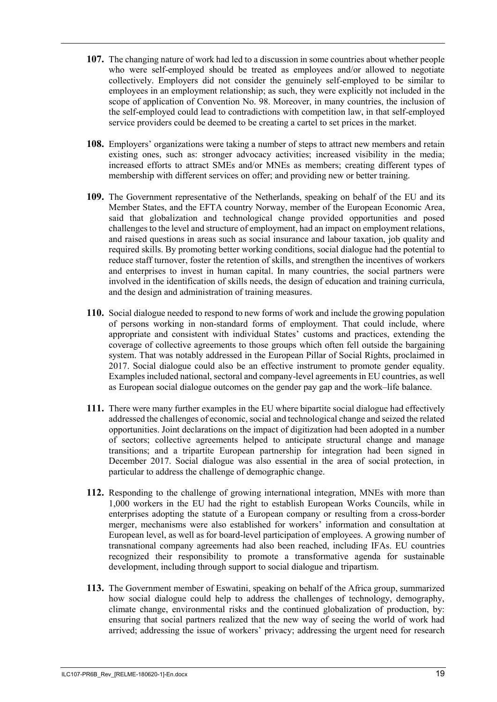- **107.** The changing nature of work had led to a discussion in some countries about whether people who were self-employed should be treated as employees and/or allowed to negotiate collectively. Employers did not consider the genuinely self-employed to be similar to employees in an employment relationship; as such, they were explicitly not included in the scope of application of Convention No. 98. Moreover, in many countries, the inclusion of the self-employed could lead to contradictions with competition law, in that self-employed service providers could be deemed to be creating a cartel to set prices in the market.
- **108.** Employers' organizations were taking a number of steps to attract new members and retain existing ones, such as: stronger advocacy activities; increased visibility in the media; increased efforts to attract SMEs and/or MNEs as members; creating different types of membership with different services on offer; and providing new or better training.
- **109.** The Government representative of the Netherlands, speaking on behalf of the EU and its Member States, and the EFTA country Norway, member of the European Economic Area, said that globalization and technological change provided opportunities and posed challenges to the level and structure of employment, had an impact on employment relations, and raised questions in areas such as social insurance and labour taxation, job quality and required skills. By promoting better working conditions, social dialogue had the potential to reduce staff turnover, foster the retention of skills, and strengthen the incentives of workers and enterprises to invest in human capital. In many countries, the social partners were involved in the identification of skills needs, the design of education and training curricula, and the design and administration of training measures.
- **110.** Social dialogue needed to respond to new forms of work and include the growing population of persons working in non-standard forms of employment. That could include, where appropriate and consistent with individual States' customs and practices, extending the coverage of collective agreements to those groups which often fell outside the bargaining system. That was notably addressed in the European Pillar of Social Rights, proclaimed in 2017. Social dialogue could also be an effective instrument to promote gender equality. Examples included national, sectoral and company-level agreements in EU countries, as well as European social dialogue outcomes on the gender pay gap and the work–life balance.
- **111.** There were many further examples in the EU where bipartite social dialogue had effectively addressed the challenges of economic, social and technological change and seized the related opportunities. Joint declarations on the impact of digitization had been adopted in a number of sectors; collective agreements helped to anticipate structural change and manage transitions; and a tripartite European partnership for integration had been signed in December 2017. Social dialogue was also essential in the area of social protection, in particular to address the challenge of demographic change.
- **112.** Responding to the challenge of growing international integration, MNEs with more than 1,000 workers in the EU had the right to establish European Works Councils, while in enterprises adopting the statute of a European company or resulting from a cross-border merger, mechanisms were also established for workers' information and consultation at European level, as well as for board-level participation of employees. A growing number of transnational company agreements had also been reached, including IFAs. EU countries recognized their responsibility to promote a transformative agenda for sustainable development, including through support to social dialogue and tripartism.
- **113.** The Government member of Eswatini, speaking on behalf of the Africa group, summarized how social dialogue could help to address the challenges of technology, demography, climate change, environmental risks and the continued globalization of production, by: ensuring that social partners realized that the new way of seeing the world of work had arrived; addressing the issue of workers' privacy; addressing the urgent need for research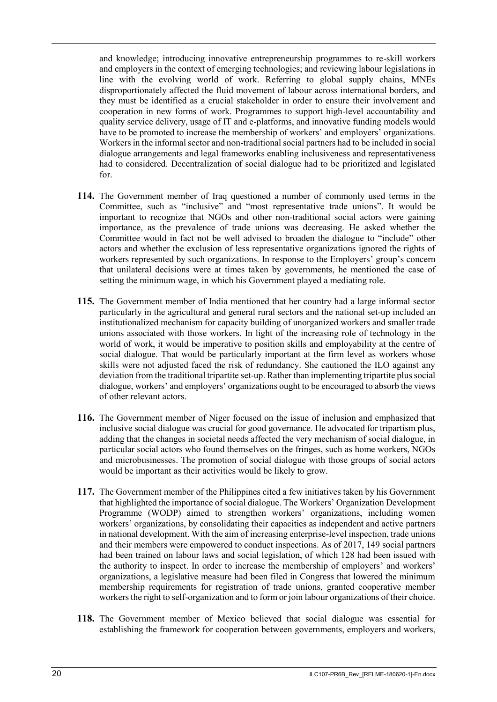and knowledge; introducing innovative entrepreneurship programmes to re-skill workers and employers in the context of emerging technologies; and reviewing labour legislations in line with the evolving world of work. Referring to global supply chains, MNEs disproportionately affected the fluid movement of labour across international borders, and they must be identified as a crucial stakeholder in order to ensure their involvement and cooperation in new forms of work. Programmes to support high-level accountability and quality service delivery, usage of IT and e-platforms, and innovative funding models would have to be promoted to increase the membership of workers' and employers' organizations. Workers in the informal sector and non-traditional social partners had to be included in social dialogue arrangements and legal frameworks enabling inclusiveness and representativeness had to considered. Decentralization of social dialogue had to be prioritized and legislated for.

- **114.** The Government member of Iraq questioned a number of commonly used terms in the Committee, such as "inclusive" and "most representative trade unions". It would be important to recognize that NGOs and other non-traditional social actors were gaining importance, as the prevalence of trade unions was decreasing. He asked whether the Committee would in fact not be well advised to broaden the dialogue to "include" other actors and whether the exclusion of less representative organizations ignored the rights of workers represented by such organizations. In response to the Employers' group's concern that unilateral decisions were at times taken by governments, he mentioned the case of setting the minimum wage, in which his Government played a mediating role.
- **115.** The Government member of India mentioned that her country had a large informal sector particularly in the agricultural and general rural sectors and the national set-up included an institutionalized mechanism for capacity building of unorganized workers and smaller trade unions associated with those workers. In light of the increasing role of technology in the world of work, it would be imperative to position skills and employability at the centre of social dialogue. That would be particularly important at the firm level as workers whose skills were not adjusted faced the risk of redundancy. She cautioned the ILO against any deviation from the traditional tripartite set-up. Rather than implementing tripartite plus social dialogue, workers' and employers' organizations ought to be encouraged to absorb the views of other relevant actors.
- **116.** The Government member of Niger focused on the issue of inclusion and emphasized that inclusive social dialogue was crucial for good governance. He advocated for tripartism plus, adding that the changes in societal needs affected the very mechanism of social dialogue, in particular social actors who found themselves on the fringes, such as home workers, NGOs and microbusinesses. The promotion of social dialogue with those groups of social actors would be important as their activities would be likely to grow.
- **117.** The Government member of the Philippines cited a few initiatives taken by his Government that highlighted the importance of social dialogue. The Workers' Organization Development Programme (WODP) aimed to strengthen workers' organizations, including women workers' organizations, by consolidating their capacities as independent and active partners in national development. With the aim of increasing enterprise-level inspection, trade unions and their members were empowered to conduct inspections. As of 2017, 149 social partners had been trained on labour laws and social legislation, of which 128 had been issued with the authority to inspect. In order to increase the membership of employers' and workers' organizations, a legislative measure had been filed in Congress that lowered the minimum membership requirements for registration of trade unions, granted cooperative member workers the right to self-organization and to form or join labour organizations of their choice.
- **118.** The Government member of Mexico believed that social dialogue was essential for establishing the framework for cooperation between governments, employers and workers,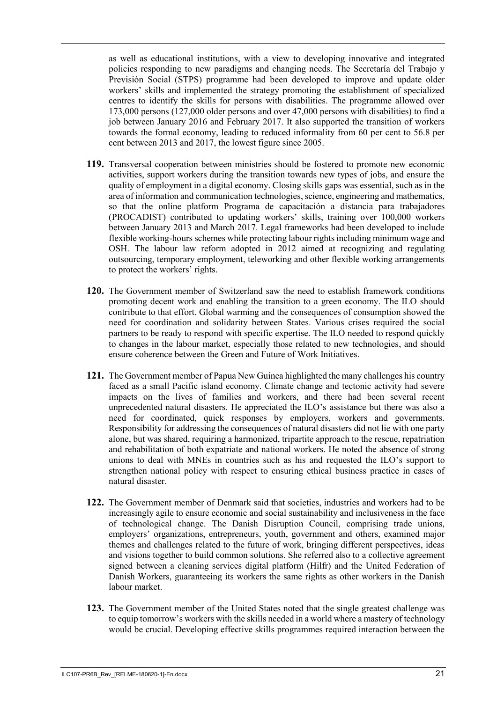as well as educational institutions, with a view to developing innovative and integrated policies responding to new paradigms and changing needs. The Secretaría del Trabajo y Previsión Social (STPS) programme had been developed to improve and update older workers' skills and implemented the strategy promoting the establishment of specialized centres to identify the skills for persons with disabilities. The programme allowed over 173,000 persons (127,000 older persons and over 47,000 persons with disabilities) to find a job between January 2016 and February 2017. It also supported the transition of workers towards the formal economy, leading to reduced informality from 60 per cent to 56.8 per cent between 2013 and 2017, the lowest figure since 2005.

- **119.** Transversal cooperation between ministries should be fostered to promote new economic activities, support workers during the transition towards new types of jobs, and ensure the quality of employment in a digital economy. Closing skills gaps was essential, such as in the area of information and communication technologies, science, engineering and mathematics, so that the online platform Programa de capacitación a distancia para trabajadores (PROCADIST) contributed to updating workers' skills, training over 100,000 workers between January 2013 and March 2017. Legal frameworks had been developed to include flexible working-hours schemes while protecting labour rights including minimum wage and OSH. The labour law reform adopted in 2012 aimed at recognizing and regulating outsourcing, temporary employment, teleworking and other flexible working arrangements to protect the workers' rights.
- **120.** The Government member of Switzerland saw the need to establish framework conditions promoting decent work and enabling the transition to a green economy. The ILO should contribute to that effort. Global warming and the consequences of consumption showed the need for coordination and solidarity between States. Various crises required the social partners to be ready to respond with specific expertise. The ILO needed to respond quickly to changes in the labour market, especially those related to new technologies, and should ensure coherence between the Green and Future of Work Initiatives.
- **121.** The Government member of Papua New Guinea highlighted the many challenges his country faced as a small Pacific island economy. Climate change and tectonic activity had severe impacts on the lives of families and workers, and there had been several recent unprecedented natural disasters. He appreciated the ILO's assistance but there was also a need for coordinated, quick responses by employers, workers and governments. Responsibility for addressing the consequences of natural disasters did not lie with one party alone, but was shared, requiring a harmonized, tripartite approach to the rescue, repatriation and rehabilitation of both expatriate and national workers. He noted the absence of strong unions to deal with MNEs in countries such as his and requested the ILO's support to strengthen national policy with respect to ensuring ethical business practice in cases of natural disaster.
- **122.** The Government member of Denmark said that societies, industries and workers had to be increasingly agile to ensure economic and social sustainability and inclusiveness in the face of technological change. The Danish Disruption Council, comprising trade unions, employers' organizations, entrepreneurs, youth, government and others, examined major themes and challenges related to the future of work, bringing different perspectives, ideas and visions together to build common solutions. She referred also to a collective agreement signed between a cleaning services digital platform (Hilfr) and the United Federation of Danish Workers, guaranteeing its workers the same rights as other workers in the Danish labour market.
- **123.** The Government member of the United States noted that the single greatest challenge was to equip tomorrow's workers with the skills needed in a world where a mastery of technology would be crucial. Developing effective skills programmes required interaction between the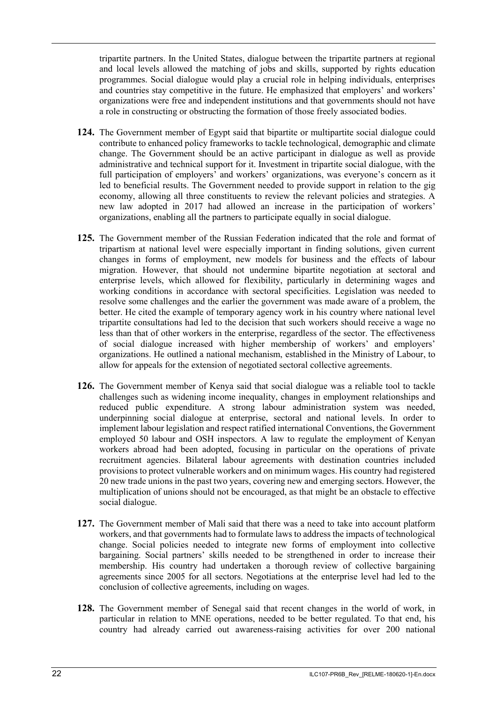tripartite partners. In the United States, dialogue between the tripartite partners at regional and local levels allowed the matching of jobs and skills, supported by rights education programmes. Social dialogue would play a crucial role in helping individuals, enterprises and countries stay competitive in the future. He emphasized that employers' and workers' organizations were free and independent institutions and that governments should not have a role in constructing or obstructing the formation of those freely associated bodies.

- **124.** The Government member of Egypt said that bipartite or multipartite social dialogue could contribute to enhanced policy frameworks to tackle technological, demographic and climate change. The Government should be an active participant in dialogue as well as provide administrative and technical support for it. Investment in tripartite social dialogue, with the full participation of employers' and workers' organizations, was everyone's concern as it led to beneficial results. The Government needed to provide support in relation to the gig economy, allowing all three constituents to review the relevant policies and strategies. A new law adopted in 2017 had allowed an increase in the participation of workers' organizations, enabling all the partners to participate equally in social dialogue.
- **125.** The Government member of the Russian Federation indicated that the role and format of tripartism at national level were especially important in finding solutions, given current changes in forms of employment, new models for business and the effects of labour migration. However, that should not undermine bipartite negotiation at sectoral and enterprise levels, which allowed for flexibility, particularly in determining wages and working conditions in accordance with sectoral specificities. Legislation was needed to resolve some challenges and the earlier the government was made aware of a problem, the better. He cited the example of temporary agency work in his country where national level tripartite consultations had led to the decision that such workers should receive a wage no less than that of other workers in the enterprise, regardless of the sector. The effectiveness of social dialogue increased with higher membership of workers' and employers' organizations. He outlined a national mechanism, established in the Ministry of Labour, to allow for appeals for the extension of negotiated sectoral collective agreements.
- **126.** The Government member of Kenya said that social dialogue was a reliable tool to tackle challenges such as widening income inequality, changes in employment relationships and reduced public expenditure. A strong labour administration system was needed, underpinning social dialogue at enterprise, sectoral and national levels. In order to implement labour legislation and respect ratified international Conventions, the Government employed 50 labour and OSH inspectors. A law to regulate the employment of Kenyan workers abroad had been adopted, focusing in particular on the operations of private recruitment agencies. Bilateral labour agreements with destination countries included provisions to protect vulnerable workers and on minimum wages. His country had registered 20 new trade unions in the past two years, covering new and emerging sectors. However, the multiplication of unions should not be encouraged, as that might be an obstacle to effective social dialogue.
- **127.** The Government member of Mali said that there was a need to take into account platform workers, and that governments had to formulate laws to address the impacts of technological change. Social policies needed to integrate new forms of employment into collective bargaining. Social partners' skills needed to be strengthened in order to increase their membership. His country had undertaken a thorough review of collective bargaining agreements since 2005 for all sectors. Negotiations at the enterprise level had led to the conclusion of collective agreements, including on wages.
- **128.** The Government member of Senegal said that recent changes in the world of work, in particular in relation to MNE operations, needed to be better regulated. To that end, his country had already carried out awareness-raising activities for over 200 national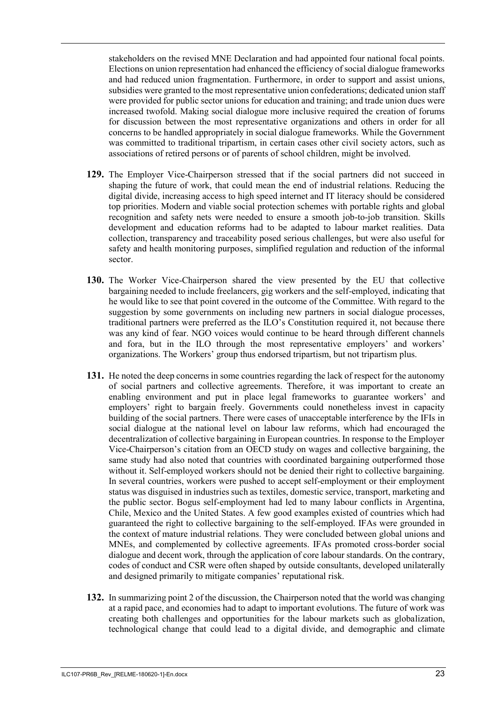stakeholders on the revised MNE Declaration and had appointed four national focal points. Elections on union representation had enhanced the efficiency of social dialogue frameworks and had reduced union fragmentation. Furthermore, in order to support and assist unions, subsidies were granted to the most representative union confederations; dedicated union staff were provided for public sector unions for education and training; and trade union dues were increased twofold. Making social dialogue more inclusive required the creation of forums for discussion between the most representative organizations and others in order for all concerns to be handled appropriately in social dialogue frameworks. While the Government was committed to traditional tripartism, in certain cases other civil society actors, such as associations of retired persons or of parents of school children, might be involved.

- **129.** The Employer Vice-Chairperson stressed that if the social partners did not succeed in shaping the future of work, that could mean the end of industrial relations. Reducing the digital divide, increasing access to high speed internet and IT literacy should be considered top priorities. Modern and viable social protection schemes with portable rights and global recognition and safety nets were needed to ensure a smooth job-to-job transition. Skills development and education reforms had to be adapted to labour market realities. Data collection, transparency and traceability posed serious challenges, but were also useful for safety and health monitoring purposes, simplified regulation and reduction of the informal sector.
- **130.** The Worker Vice-Chairperson shared the view presented by the EU that collective bargaining needed to include freelancers, gig workers and the self-employed, indicating that he would like to see that point covered in the outcome of the Committee. With regard to the suggestion by some governments on including new partners in social dialogue processes, traditional partners were preferred as the ILO's Constitution required it, not because there was any kind of fear. NGO voices would continue to be heard through different channels and fora, but in the ILO through the most representative employers' and workers' organizations. The Workers' group thus endorsed tripartism, but not tripartism plus.
- **131.** He noted the deep concerns in some countries regarding the lack of respect for the autonomy of social partners and collective agreements. Therefore, it was important to create an enabling environment and put in place legal frameworks to guarantee workers' and employers' right to bargain freely. Governments could nonetheless invest in capacity building of the social partners. There were cases of unacceptable interference by the IFIs in social dialogue at the national level on labour law reforms, which had encouraged the decentralization of collective bargaining in European countries. In response to the Employer Vice-Chairperson's citation from an OECD study on wages and collective bargaining, the same study had also noted that countries with coordinated bargaining outperformed those without it. Self-employed workers should not be denied their right to collective bargaining. In several countries, workers were pushed to accept self-employment or their employment status was disguised in industries such as textiles, domestic service, transport, marketing and the public sector. Bogus self-employment had led to many labour conflicts in Argentina, Chile, Mexico and the United States. A few good examples existed of countries which had guaranteed the right to collective bargaining to the self-employed. IFAs were grounded in the context of mature industrial relations. They were concluded between global unions and MNEs, and complemented by collective agreements. IFAs promoted cross-border social dialogue and decent work, through the application of core labour standards. On the contrary, codes of conduct and CSR were often shaped by outside consultants, developed unilaterally and designed primarily to mitigate companies' reputational risk.
- **132.** In summarizing point 2 of the discussion, the Chairperson noted that the world was changing at a rapid pace, and economies had to adapt to important evolutions. The future of work was creating both challenges and opportunities for the labour markets such as globalization, technological change that could lead to a digital divide, and demographic and climate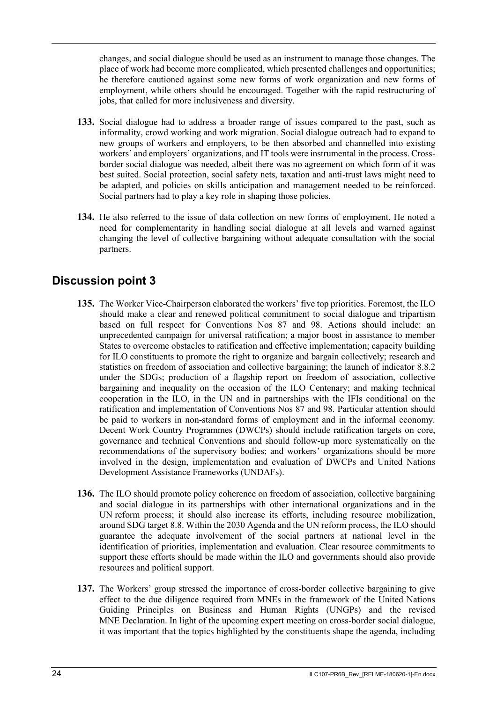changes, and social dialogue should be used as an instrument to manage those changes. The place of work had become more complicated, which presented challenges and opportunities; he therefore cautioned against some new forms of work organization and new forms of employment, while others should be encouraged. Together with the rapid restructuring of jobs, that called for more inclusiveness and diversity.

- **133.** Social dialogue had to address a broader range of issues compared to the past, such as informality, crowd working and work migration. Social dialogue outreach had to expand to new groups of workers and employers, to be then absorbed and channelled into existing workers' and employers' organizations, and IT tools were instrumental in the process. Crossborder social dialogue was needed, albeit there was no agreement on which form of it was best suited. Social protection, social safety nets, taxation and anti-trust laws might need to be adapted, and policies on skills anticipation and management needed to be reinforced. Social partners had to play a key role in shaping those policies.
- **134.** He also referred to the issue of data collection on new forms of employment. He noted a need for complementarity in handling social dialogue at all levels and warned against changing the level of collective bargaining without adequate consultation with the social partners.

# <span id="page-25-0"></span>**Discussion point 3**

- **135.** The Worker Vice-Chairperson elaborated the workers' five top priorities. Foremost, the ILO should make a clear and renewed political commitment to social dialogue and tripartism based on full respect for Conventions Nos 87 and 98. Actions should include: an unprecedented campaign for universal ratification; a major boost in assistance to member States to overcome obstacles to ratification and effective implementation; capacity building for ILO constituents to promote the right to organize and bargain collectively; research and statistics on freedom of association and collective bargaining; the launch of indicator 8.8.2 under the SDGs; production of a flagship report on freedom of association, collective bargaining and inequality on the occasion of the ILO Centenary; and making technical cooperation in the ILO, in the UN and in partnerships with the IFIs conditional on the ratification and implementation of Conventions Nos 87 and 98. Particular attention should be paid to workers in non-standard forms of employment and in the informal economy. Decent Work Country Programmes (DWCPs) should include ratification targets on core, governance and technical Conventions and should follow-up more systematically on the recommendations of the supervisory bodies; and workers' organizations should be more involved in the design, implementation and evaluation of DWCPs and United Nations Development Assistance Frameworks (UNDAFs).
- **136.** The ILO should promote policy coherence on freedom of association, collective bargaining and social dialogue in its partnerships with other international organizations and in the UN reform process; it should also increase its efforts, including resource mobilization, around SDG target 8.8. Within the 2030 Agenda and the UN reform process, the ILO should guarantee the adequate involvement of the social partners at national level in the identification of priorities, implementation and evaluation. Clear resource commitments to support these efforts should be made within the ILO and governments should also provide resources and political support.
- **137.** The Workers' group stressed the importance of cross-border collective bargaining to give effect to the due diligence required from MNEs in the framework of the United Nations Guiding Principles on Business and Human Rights (UNGPs) and the revised MNE Declaration. In light of the upcoming expert meeting on cross-border social dialogue, it was important that the topics highlighted by the constituents shape the agenda, including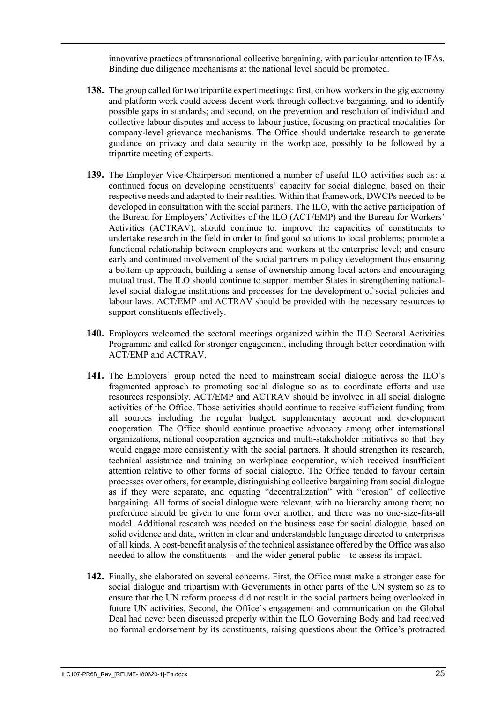innovative practices of transnational collective bargaining, with particular attention to IFAs. Binding due diligence mechanisms at the national level should be promoted.

- **138.** The group called for two tripartite expert meetings: first, on how workers in the gig economy and platform work could access decent work through collective bargaining, and to identify possible gaps in standards; and second, on the prevention and resolution of individual and collective labour disputes and access to labour justice, focusing on practical modalities for company-level grievance mechanisms. The Office should undertake research to generate guidance on privacy and data security in the workplace, possibly to be followed by a tripartite meeting of experts.
- **139.** The Employer Vice-Chairperson mentioned a number of useful ILO activities such as: a continued focus on developing constituents' capacity for social dialogue, based on their respective needs and adapted to their realities. Within that framework, DWCPs needed to be developed in consultation with the social partners. The ILO, with the active participation of the Bureau for Employers' Activities of the ILO (ACT/EMP) and the Bureau for Workers' Activities (ACTRAV), should continue to: improve the capacities of constituents to undertake research in the field in order to find good solutions to local problems; promote a functional relationship between employers and workers at the enterprise level; and ensure early and continued involvement of the social partners in policy development thus ensuring a bottom-up approach, building a sense of ownership among local actors and encouraging mutual trust. The ILO should continue to support member States in strengthening nationallevel social dialogue institutions and processes for the development of social policies and labour laws. ACT/EMP and ACTRAV should be provided with the necessary resources to support constituents effectively.
- **140.** Employers welcomed the sectoral meetings organized within the ILO Sectoral Activities Programme and called for stronger engagement, including through better coordination with ACT/EMP and ACTRAV.
- **141.** The Employers' group noted the need to mainstream social dialogue across the ILO's fragmented approach to promoting social dialogue so as to coordinate efforts and use resources responsibly. ACT/EMP and ACTRAV should be involved in all social dialogue activities of the Office. Those activities should continue to receive sufficient funding from all sources including the regular budget, supplementary account and development cooperation. The Office should continue proactive advocacy among other international organizations, national cooperation agencies and multi-stakeholder initiatives so that they would engage more consistently with the social partners. It should strengthen its research, technical assistance and training on workplace cooperation, which received insufficient attention relative to other forms of social dialogue. The Office tended to favour certain processes over others, for example, distinguishing collective bargaining from social dialogue as if they were separate, and equating "decentralization" with "erosion" of collective bargaining. All forms of social dialogue were relevant, with no hierarchy among them; no preference should be given to one form over another; and there was no one-size-fits-all model. Additional research was needed on the business case for social dialogue, based on solid evidence and data, written in clear and understandable language directed to enterprises of all kinds. A cost-benefit analysis of the technical assistance offered by the Office was also needed to allow the constituents – and the wider general public – to assess its impact.
- **142.** Finally, she elaborated on several concerns. First, the Office must make a stronger case for social dialogue and tripartism with Governments in other parts of the UN system so as to ensure that the UN reform process did not result in the social partners being overlooked in future UN activities. Second, the Office's engagement and communication on the Global Deal had never been discussed properly within the ILO Governing Body and had received no formal endorsement by its constituents, raising questions about the Office's protracted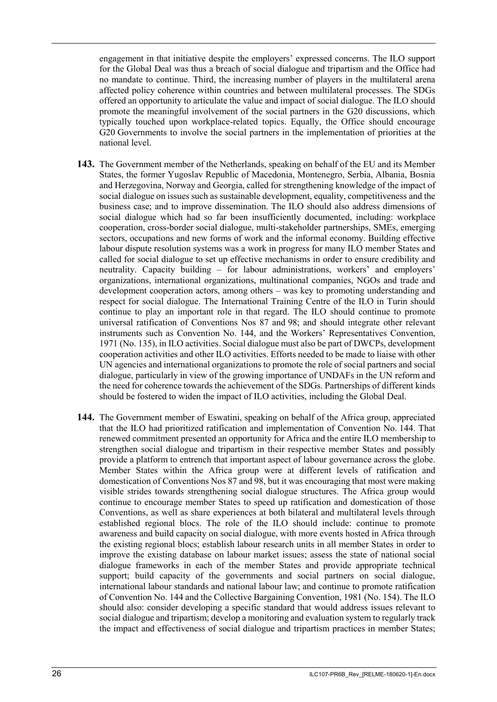engagement in that initiative despite the employers' expressed concerns. The ILO support for the Global Deal was thus a breach of social dialogue and tripartism and the Office had no mandate to continue. Third, the increasing number of players in the multilateral arena affected policy coherence within countries and between multilateral processes. The SDGs offered an opportunity to articulate the value and impact of social dialogue. The ILO should promote the meaningful involvement of the social partners in the G20 discussions, which typically touched upon workplace-related topics. Equally, the Office should encourage G20 Governments to involve the social partners in the implementation of priorities at the national level.

- **143.** The Government member of the Netherlands, speaking on behalf of the EU and its Member States, the former Yugoslav Republic of Macedonia, Montenegro, Serbia, Albania, Bosnia and Herzegovina, Norway and Georgia, called for strengthening knowledge of the impact of social dialogue on issues such as sustainable development, equality, competitiveness and the business case; and to improve dissemination. The ILO should also address dimensions of social dialogue which had so far been insufficiently documented, including: workplace cooperation, cross-border social dialogue, multi-stakeholder partnerships, SMEs, emerging sectors, occupations and new forms of work and the informal economy. Building effective labour dispute resolution systems was a work in progress for many ILO member States and called for social dialogue to set up effective mechanisms in order to ensure credibility and neutrality. Capacity building – for labour administrations, workers' and employers' organizations, international organizations, multinational companies, NGOs and trade and development cooperation actors, among others – was key to promoting understanding and respect for social dialogue. The International Training Centre of the ILO in Turin should continue to play an important role in that regard. The ILO should continue to promote universal ratification of Conventions Nos 87 and 98; and should integrate other relevant instruments such as Convention No. 144, and the Workers' Representatives Convention, 1971 (No. 135), in ILO activities. Social dialogue must also be part of DWCPs, development cooperation activities and other ILO activities. Efforts needed to be made to liaise with other UN agencies and international organizations to promote the role of social partners and social dialogue, particularly in view of the growing importance of UNDAFs in the UN reform and the need for coherence towards the achievement of the SDGs. Partnerships of different kinds should be fostered to widen the impact of ILO activities, including the Global Deal.
- **144.** The Government member of Eswatini, speaking on behalf of the Africa group, appreciated that the ILO had prioritized ratification and implementation of Convention No. 144. That renewed commitment presented an opportunity for Africa and the entire ILO membership to strengthen social dialogue and tripartism in their respective member States and possibly provide a platform to entrench that important aspect of labour governance across the globe. Member States within the Africa group were at different levels of ratification and domestication of Conventions Nos 87 and 98, but it was encouraging that most were making visible strides towards strengthening social dialogue structures. The Africa group would continue to encourage member States to speed up ratification and domestication of those Conventions, as well as share experiences at both bilateral and multilateral levels through established regional blocs. The role of the ILO should include: continue to promote awareness and build capacity on social dialogue, with more events hosted in Africa through the existing regional blocs; establish labour research units in all member States in order to improve the existing database on labour market issues; assess the state of national social dialogue frameworks in each of the member States and provide appropriate technical support; build capacity of the governments and social partners on social dialogue, international labour standards and national labour law; and continue to promote ratification of Convention No. 144 and the Collective Bargaining Convention, 1981 (No. 154). The ILO should also: consider developing a specific standard that would address issues relevant to social dialogue and tripartism; develop a monitoring and evaluation system to regularly track the impact and effectiveness of social dialogue and tripartism practices in member States;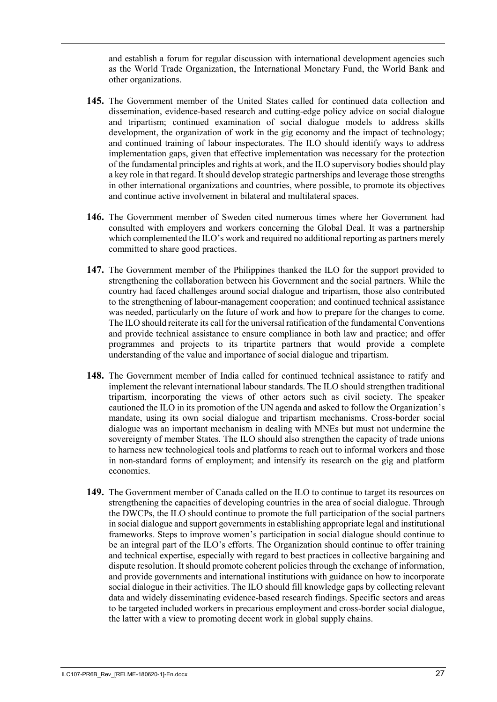and establish a forum for regular discussion with international development agencies such as the World Trade Organization, the International Monetary Fund, the World Bank and other organizations.

- **145.** The Government member of the United States called for continued data collection and dissemination, evidence-based research and cutting-edge policy advice on social dialogue and tripartism; continued examination of social dialogue models to address skills development, the organization of work in the gig economy and the impact of technology; and continued training of labour inspectorates. The ILO should identify ways to address implementation gaps, given that effective implementation was necessary for the protection of the fundamental principles and rights at work, and the ILO supervisory bodies should play a key role in that regard. It should develop strategic partnerships and leverage those strengths in other international organizations and countries, where possible, to promote its objectives and continue active involvement in bilateral and multilateral spaces.
- **146.** The Government member of Sweden cited numerous times where her Government had consulted with employers and workers concerning the Global Deal. It was a partnership which complemented the ILO's work and required no additional reporting as partners merely committed to share good practices.
- **147.** The Government member of the Philippines thanked the ILO for the support provided to strengthening the collaboration between his Government and the social partners. While the country had faced challenges around social dialogue and tripartism, those also contributed to the strengthening of labour-management cooperation; and continued technical assistance was needed, particularly on the future of work and how to prepare for the changes to come. The ILO should reiterate its call for the universal ratification of the fundamental Conventions and provide technical assistance to ensure compliance in both law and practice; and offer programmes and projects to its tripartite partners that would provide a complete understanding of the value and importance of social dialogue and tripartism.
- **148.** The Government member of India called for continued technical assistance to ratify and implement the relevant international labour standards. The ILO should strengthen traditional tripartism, incorporating the views of other actors such as civil society. The speaker cautioned the ILO in its promotion of the UN agenda and asked to follow the Organization's mandate, using its own social dialogue and tripartism mechanisms. Cross-border social dialogue was an important mechanism in dealing with MNEs but must not undermine the sovereignty of member States. The ILO should also strengthen the capacity of trade unions to harness new technological tools and platforms to reach out to informal workers and those in non-standard forms of employment; and intensify its research on the gig and platform economies.
- **149.** The Government member of Canada called on the ILO to continue to target its resources on strengthening the capacities of developing countries in the area of social dialogue. Through the DWCPs, the ILO should continue to promote the full participation of the social partners in social dialogue and support governments in establishing appropriate legal and institutional frameworks. Steps to improve women's participation in social dialogue should continue to be an integral part of the ILO's efforts. The Organization should continue to offer training and technical expertise, especially with regard to best practices in collective bargaining and dispute resolution. It should promote coherent policies through the exchange of information, and provide governments and international institutions with guidance on how to incorporate social dialogue in their activities. The ILO should fill knowledge gaps by collecting relevant data and widely disseminating evidence-based research findings. Specific sectors and areas to be targeted included workers in precarious employment and cross-border social dialogue, the latter with a view to promoting decent work in global supply chains.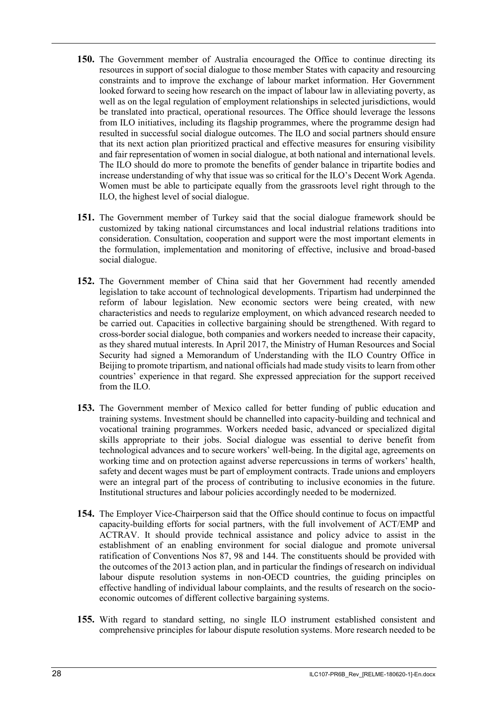- **150.** The Government member of Australia encouraged the Office to continue directing its resources in support of social dialogue to those member States with capacity and resourcing constraints and to improve the exchange of labour market information. Her Government looked forward to seeing how research on the impact of labour law in alleviating poverty, as well as on the legal regulation of employment relationships in selected jurisdictions, would be translated into practical, operational resources. The Office should leverage the lessons from ILO initiatives, including its flagship programmes, where the programme design had resulted in successful social dialogue outcomes. The ILO and social partners should ensure that its next action plan prioritized practical and effective measures for ensuring visibility and fair representation of women in social dialogue, at both national and international levels. The ILO should do more to promote the benefits of gender balance in tripartite bodies and increase understanding of why that issue was so critical for the ILO's Decent Work Agenda. Women must be able to participate equally from the grassroots level right through to the ILO, the highest level of social dialogue.
- **151.** The Government member of Turkey said that the social dialogue framework should be customized by taking national circumstances and local industrial relations traditions into consideration. Consultation, cooperation and support were the most important elements in the formulation, implementation and monitoring of effective, inclusive and broad-based social dialogue.
- **152.** The Government member of China said that her Government had recently amended legislation to take account of technological developments. Tripartism had underpinned the reform of labour legislation. New economic sectors were being created, with new characteristics and needs to regularize employment, on which advanced research needed to be carried out. Capacities in collective bargaining should be strengthened. With regard to cross-border social dialogue, both companies and workers needed to increase their capacity, as they shared mutual interests. In April 2017, the Ministry of Human Resources and Social Security had signed a Memorandum of Understanding with the ILO Country Office in Beijing to promote tripartism, and national officials had made study visits to learn from other countries' experience in that regard. She expressed appreciation for the support received from the ILO.
- **153.** The Government member of Mexico called for better funding of public education and training systems. Investment should be channelled into capacity-building and technical and vocational training programmes. Workers needed basic, advanced or specialized digital skills appropriate to their jobs. Social dialogue was essential to derive benefit from technological advances and to secure workers' well-being. In the digital age, agreements on working time and on protection against adverse repercussions in terms of workers' health, safety and decent wages must be part of employment contracts. Trade unions and employers were an integral part of the process of contributing to inclusive economies in the future. Institutional structures and labour policies accordingly needed to be modernized.
- **154.** The Employer Vice-Chairperson said that the Office should continue to focus on impactful capacity-building efforts for social partners, with the full involvement of ACT/EMP and ACTRAV. It should provide technical assistance and policy advice to assist in the establishment of an enabling environment for social dialogue and promote universal ratification of Conventions Nos 87, 98 and 144. The constituents should be provided with the outcomes of the 2013 action plan, and in particular the findings of research on individual labour dispute resolution systems in non-OECD countries, the guiding principles on effective handling of individual labour complaints, and the results of research on the socioeconomic outcomes of different collective bargaining systems.
- **155.** With regard to standard setting, no single ILO instrument established consistent and comprehensive principles for labour dispute resolution systems. More research needed to be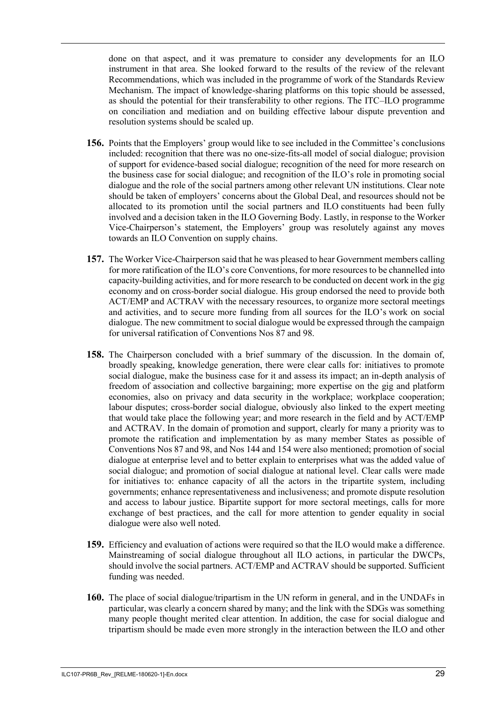done on that aspect, and it was premature to consider any developments for an ILO instrument in that area. She looked forward to the results of the review of the relevant Recommendations, which was included in the programme of work of the Standards Review Mechanism. The impact of knowledge-sharing platforms on this topic should be assessed, as should the potential for their transferability to other regions. The ITC–ILO programme on conciliation and mediation and on building effective labour dispute prevention and resolution systems should be scaled up.

- **156.** Points that the Employers' group would like to see included in the Committee's conclusions included: recognition that there was no one-size-fits-all model of social dialogue; provision of support for evidence-based social dialogue; recognition of the need for more research on the business case for social dialogue; and recognition of the ILO's role in promoting social dialogue and the role of the social partners among other relevant UN institutions. Clear note should be taken of employers' concerns about the Global Deal, and resources should not be allocated to its promotion until the social partners and ILO constituents had been fully involved and a decision taken in the ILO Governing Body. Lastly, in response to the Worker Vice-Chairperson's statement, the Employers' group was resolutely against any moves towards an ILO Convention on supply chains.
- **157.** The Worker Vice-Chairperson said that he was pleased to hear Government members calling for more ratification of the ILO's core Conventions, for more resources to be channelled into capacity-building activities, and for more research to be conducted on decent work in the gig economy and on cross-border social dialogue. His group endorsed the need to provide both ACT/EMP and ACTRAV with the necessary resources, to organize more sectoral meetings and activities, and to secure more funding from all sources for the ILO's work on social dialogue. The new commitment to social dialogue would be expressed through the campaign for universal ratification of Conventions Nos 87 and 98.
- **158.** The Chairperson concluded with a brief summary of the discussion. In the domain of, broadly speaking, knowledge generation, there were clear calls for: initiatives to promote social dialogue, make the business case for it and assess its impact; an in-depth analysis of freedom of association and collective bargaining; more expertise on the gig and platform economies, also on privacy and data security in the workplace; workplace cooperation; labour disputes; cross-border social dialogue, obviously also linked to the expert meeting that would take place the following year; and more research in the field and by ACT/EMP and ACTRAV. In the domain of promotion and support, clearly for many a priority was to promote the ratification and implementation by as many member States as possible of Conventions Nos 87 and 98, and Nos 144 and 154 were also mentioned; promotion of social dialogue at enterprise level and to better explain to enterprises what was the added value of social dialogue; and promotion of social dialogue at national level. Clear calls were made for initiatives to: enhance capacity of all the actors in the tripartite system, including governments; enhance representativeness and inclusiveness; and promote dispute resolution and access to labour justice. Bipartite support for more sectoral meetings, calls for more exchange of best practices, and the call for more attention to gender equality in social dialogue were also well noted.
- **159.** Efficiency and evaluation of actions were required so that the ILO would make a difference. Mainstreaming of social dialogue throughout all ILO actions, in particular the DWCPs, should involve the social partners. ACT/EMP and ACTRAV should be supported. Sufficient funding was needed.
- **160.** The place of social dialogue/tripartism in the UN reform in general, and in the UNDAFs in particular, was clearly a concern shared by many; and the link with the SDGs was something many people thought merited clear attention. In addition, the case for social dialogue and tripartism should be made even more strongly in the interaction between the ILO and other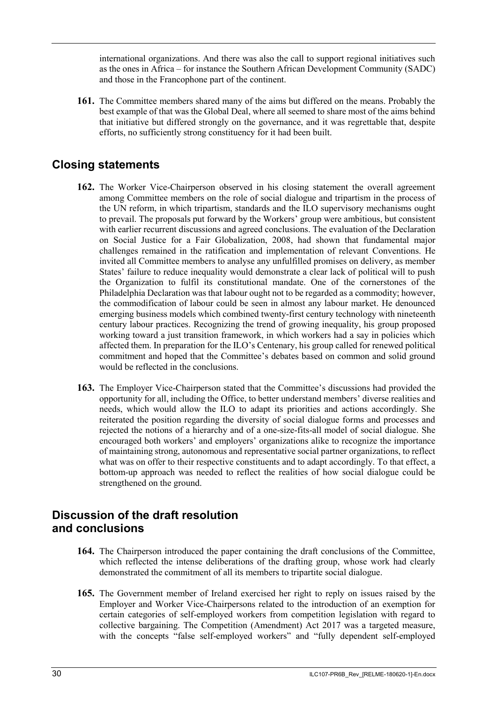international organizations. And there was also the call to support regional initiatives such as the ones in Africa – for instance the Southern African Development Community (SADC) and those in the Francophone part of the continent.

**161.** The Committee members shared many of the aims but differed on the means. Probably the best example of that was the Global Deal, where all seemed to share most of the aims behind that initiative but differed strongly on the governance, and it was regrettable that, despite efforts, no sufficiently strong constituency for it had been built.

## <span id="page-31-0"></span>**Closing statements**

- **162.** The Worker Vice-Chairperson observed in his closing statement the overall agreement among Committee members on the role of social dialogue and tripartism in the process of the UN reform, in which tripartism, standards and the ILO supervisory mechanisms ought to prevail. The proposals put forward by the Workers' group were ambitious, but consistent with earlier recurrent discussions and agreed conclusions. The evaluation of the Declaration on Social Justice for a Fair Globalization, 2008, had shown that fundamental major challenges remained in the ratification and implementation of relevant Conventions. He invited all Committee members to analyse any unfulfilled promises on delivery, as member States' failure to reduce inequality would demonstrate a clear lack of political will to push the Organization to fulfil its constitutional mandate. One of the cornerstones of the Philadelphia Declaration was that labour ought not to be regarded as a commodity; however, the commodification of labour could be seen in almost any labour market. He denounced emerging business models which combined twenty-first century technology with nineteenth century labour practices. Recognizing the trend of growing inequality, his group proposed working toward a just transition framework, in which workers had a say in policies which affected them. In preparation for the ILO's Centenary, his group called for renewed political commitment and hoped that the Committee's debates based on common and solid ground would be reflected in the conclusions.
- **163.** The Employer Vice-Chairperson stated that the Committee's discussions had provided the opportunity for all, including the Office, to better understand members' diverse realities and needs, which would allow the ILO to adapt its priorities and actions accordingly. She reiterated the position regarding the diversity of social dialogue forms and processes and rejected the notions of a hierarchy and of a one-size-fits-all model of social dialogue. She encouraged both workers' and employers' organizations alike to recognize the importance of maintaining strong, autonomous and representative social partner organizations, to reflect what was on offer to their respective constituents and to adapt accordingly. To that effect, a bottom-up approach was needed to reflect the realities of how social dialogue could be strengthened on the ground.

#### <span id="page-31-1"></span>**Discussion of the draft resolution and conclusions**

- **164.** The Chairperson introduced the paper containing the draft conclusions of the Committee, which reflected the intense deliberations of the drafting group, whose work had clearly demonstrated the commitment of all its members to tripartite social dialogue.
- **165.** The Government member of Ireland exercised her right to reply on issues raised by the Employer and Worker Vice-Chairpersons related to the introduction of an exemption for certain categories of self-employed workers from competition legislation with regard to collective bargaining. The Competition (Amendment) Act 2017 was a targeted measure, with the concepts "false self-employed workers" and "fully dependent self-employed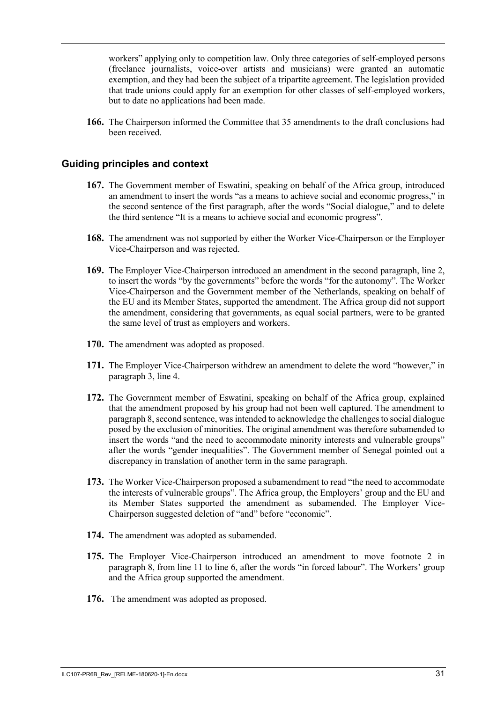workers" applying only to competition law. Only three categories of self-employed persons (freelance journalists, voice-over artists and musicians) were granted an automatic exemption, and they had been the subject of a tripartite agreement. The legislation provided that trade unions could apply for an exemption for other classes of self-employed workers, but to date no applications had been made.

**166.** The Chairperson informed the Committee that 35 amendments to the draft conclusions had been received.

#### **Guiding principles and context**

- **167.** The Government member of Eswatini, speaking on behalf of the Africa group, introduced an amendment to insert the words "as a means to achieve social and economic progress," in the second sentence of the first paragraph, after the words "Social dialogue," and to delete the third sentence "It is a means to achieve social and economic progress".
- **168.** The amendment was not supported by either the Worker Vice-Chairperson or the Employer Vice-Chairperson and was rejected.
- **169.** The Employer Vice-Chairperson introduced an amendment in the second paragraph, line 2, to insert the words "by the governments" before the words "for the autonomy". The Worker Vice-Chairperson and the Government member of the Netherlands, speaking on behalf of the EU and its Member States, supported the amendment. The Africa group did not support the amendment, considering that governments, as equal social partners, were to be granted the same level of trust as employers and workers.
- **170.** The amendment was adopted as proposed.
- **171.** The Employer Vice-Chairperson withdrew an amendment to delete the word "however," in paragraph 3, line 4.
- **172.** The Government member of Eswatini, speaking on behalf of the Africa group, explained that the amendment proposed by his group had not been well captured. The amendment to paragraph 8, second sentence, was intended to acknowledge the challenges to social dialogue posed by the exclusion of minorities. The original amendment was therefore subamended to insert the words "and the need to accommodate minority interests and vulnerable groups" after the words "gender inequalities". The Government member of Senegal pointed out a discrepancy in translation of another term in the same paragraph.
- **173.** The Worker Vice-Chairperson proposed a subamendment to read "the need to accommodate the interests of vulnerable groups". The Africa group, the Employers' group and the EU and its Member States supported the amendment as subamended. The Employer Vice-Chairperson suggested deletion of "and" before "economic".
- **174.** The amendment was adopted as subamended.
- **175.** The Employer Vice-Chairperson introduced an amendment to move footnote 2 in paragraph 8, from line 11 to line 6, after the words "in forced labour". The Workers' group and the Africa group supported the amendment.
- **176.** The amendment was adopted as proposed.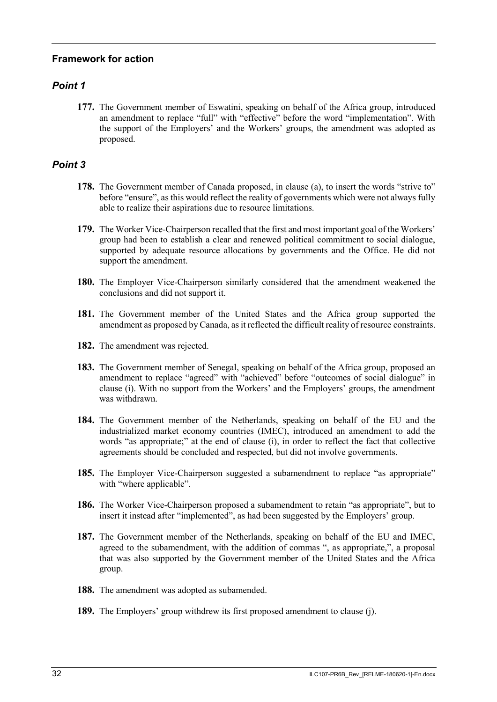#### **Framework for action**

#### *Point 1*

**177.** The Government member of Eswatini, speaking on behalf of the Africa group, introduced an amendment to replace "full" with "effective" before the word "implementation". With the support of the Employers' and the Workers' groups, the amendment was adopted as proposed.

- **178.** The Government member of Canada proposed, in clause (a), to insert the words "strive to" before "ensure", as this would reflect the reality of governments which were not always fully able to realize their aspirations due to resource limitations.
- **179.** The Worker Vice-Chairperson recalled that the first and most important goal of the Workers' group had been to establish a clear and renewed political commitment to social dialogue, supported by adequate resource allocations by governments and the Office. He did not support the amendment.
- **180.** The Employer Vice-Chairperson similarly considered that the amendment weakened the conclusions and did not support it.
- **181.** The Government member of the United States and the Africa group supported the amendment as proposed by Canada, as it reflected the difficult reality of resource constraints.
- **182.** The amendment was rejected.
- **183.** The Government member of Senegal, speaking on behalf of the Africa group, proposed an amendment to replace "agreed" with "achieved" before "outcomes of social dialogue" in clause (i). With no support from the Workers' and the Employers' groups, the amendment was withdrawn.
- **184.** The Government member of the Netherlands, speaking on behalf of the EU and the industrialized market economy countries (IMEC), introduced an amendment to add the words "as appropriate;" at the end of clause (i), in order to reflect the fact that collective agreements should be concluded and respected, but did not involve governments.
- **185.** The Employer Vice-Chairperson suggested a subamendment to replace "as appropriate" with "where applicable".
- **186.** The Worker Vice-Chairperson proposed a subamendment to retain "as appropriate", but to insert it instead after "implemented", as had been suggested by the Employers' group.
- **187.** The Government member of the Netherlands, speaking on behalf of the EU and IMEC, agreed to the subamendment, with the addition of commas ", as appropriate,", a proposal that was also supported by the Government member of the United States and the Africa group.
- **188.** The amendment was adopted as subamended.
- **189.** The Employers' group withdrew its first proposed amendment to clause (j).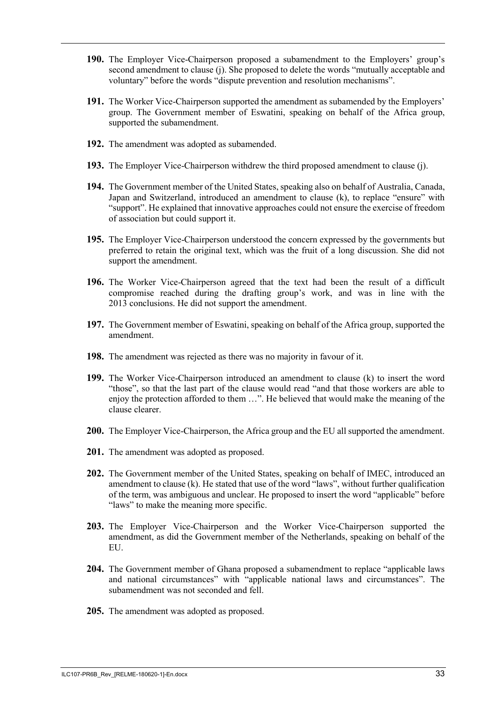- **190.** The Employer Vice-Chairperson proposed a subamendment to the Employers' group's second amendment to clause (j). She proposed to delete the words "mutually acceptable and voluntary" before the words "dispute prevention and resolution mechanisms".
- **191.** The Worker Vice-Chairperson supported the amendment as subamended by the Employers' group. The Government member of Eswatini, speaking on behalf of the Africa group, supported the subamendment.
- **192.** The amendment was adopted as subamended.
- **193.** The Employer Vice-Chairperson withdrew the third proposed amendment to clause (j).
- **194.** The Government member of the United States, speaking also on behalf of Australia, Canada, Japan and Switzerland, introduced an amendment to clause (k), to replace "ensure" with "support". He explained that innovative approaches could not ensure the exercise of freedom of association but could support it.
- **195.** The Employer Vice-Chairperson understood the concern expressed by the governments but preferred to retain the original text, which was the fruit of a long discussion. She did not support the amendment.
- **196.** The Worker Vice-Chairperson agreed that the text had been the result of a difficult compromise reached during the drafting group's work, and was in line with the 2013 conclusions. He did not support the amendment.
- **197.** The Government member of Eswatini, speaking on behalf of the Africa group, supported the amendment.
- **198.** The amendment was rejected as there was no majority in favour of it.
- **199.** The Worker Vice-Chairperson introduced an amendment to clause (k) to insert the word "those", so that the last part of the clause would read "and that those workers are able to enjoy the protection afforded to them …". He believed that would make the meaning of the clause clearer.
- **200.** The Employer Vice-Chairperson, the Africa group and the EU all supported the amendment.
- **201.** The amendment was adopted as proposed.
- **202.** The Government member of the United States, speaking on behalf of IMEC, introduced an amendment to clause (k). He stated that use of the word "laws", without further qualification of the term, was ambiguous and unclear. He proposed to insert the word "applicable" before "laws" to make the meaning more specific.
- **203.** The Employer Vice-Chairperson and the Worker Vice-Chairperson supported the amendment, as did the Government member of the Netherlands, speaking on behalf of the EU.
- **204.** The Government member of Ghana proposed a subamendment to replace "applicable laws and national circumstances" with "applicable national laws and circumstances". The subamendment was not seconded and fell
- **205.** The amendment was adopted as proposed.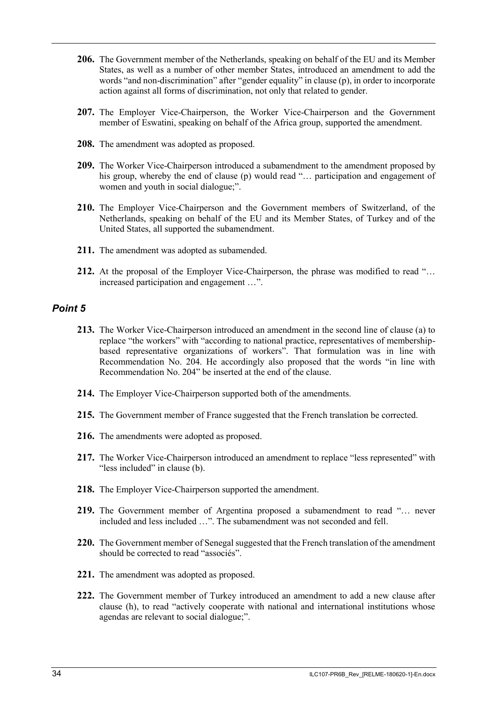- **206.** The Government member of the Netherlands, speaking on behalf of the EU and its Member States, as well as a number of other member States, introduced an amendment to add the words "and non-discrimination" after "gender equality" in clause (p), in order to incorporate action against all forms of discrimination, not only that related to gender.
- **207.** The Employer Vice-Chairperson, the Worker Vice-Chairperson and the Government member of Eswatini, speaking on behalf of the Africa group, supported the amendment.
- **208.** The amendment was adopted as proposed.
- **209.** The Worker Vice-Chairperson introduced a subamendment to the amendment proposed by his group, whereby the end of clause (p) would read "... participation and engagement of women and youth in social dialogue;".
- **210.** The Employer Vice-Chairperson and the Government members of Switzerland, of the Netherlands, speaking on behalf of the EU and its Member States, of Turkey and of the United States, all supported the subamendment.
- **211.** The amendment was adopted as subamended.
- **212.** At the proposal of the Employer Vice-Chairperson, the phrase was modified to read "… increased participation and engagement …".

- **213.** The Worker Vice-Chairperson introduced an amendment in the second line of clause (a) to replace "the workers" with "according to national practice, representatives of membershipbased representative organizations of workers". That formulation was in line with Recommendation No. 204. He accordingly also proposed that the words "in line with Recommendation No. 204" be inserted at the end of the clause.
- **214.** The Employer Vice-Chairperson supported both of the amendments.
- **215.** The Government member of France suggested that the French translation be corrected.
- **216.** The amendments were adopted as proposed.
- **217.** The Worker Vice-Chairperson introduced an amendment to replace "less represented" with "less included" in clause (b).
- **218.** The Employer Vice-Chairperson supported the amendment.
- **219.** The Government member of Argentina proposed a subamendment to read "… never included and less included …". The subamendment was not seconded and fell.
- **220.** The Government member of Senegal suggested that the French translation of the amendment should be corrected to read "associés".
- **221.** The amendment was adopted as proposed.
- **222.** The Government member of Turkey introduced an amendment to add a new clause after clause (h), to read "actively cooperate with national and international institutions whose agendas are relevant to social dialogue;".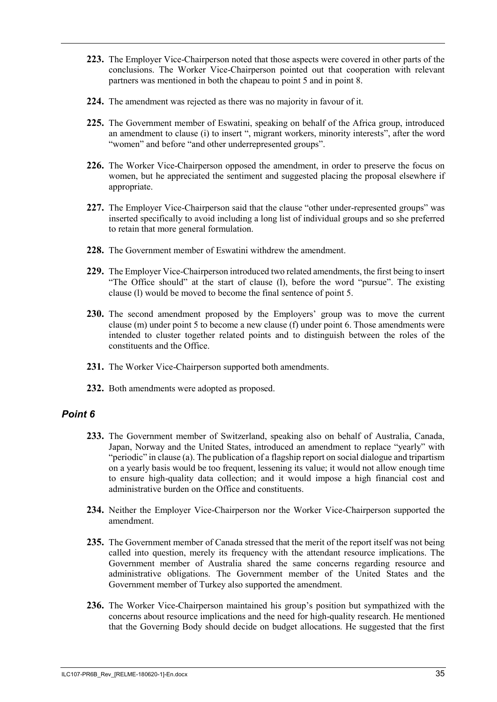- **223.** The Employer Vice-Chairperson noted that those aspects were covered in other parts of the conclusions. The Worker Vice-Chairperson pointed out that cooperation with relevant partners was mentioned in both the chapeau to point 5 and in point 8.
- **224.** The amendment was rejected as there was no majority in favour of it.
- **225.** The Government member of Eswatini, speaking on behalf of the Africa group, introduced an amendment to clause (i) to insert ", migrant workers, minority interests", after the word "women" and before "and other underrepresented groups".
- **226.** The Worker Vice-Chairperson opposed the amendment, in order to preserve the focus on women, but he appreciated the sentiment and suggested placing the proposal elsewhere if appropriate.
- **227.** The Employer Vice-Chairperson said that the clause "other under-represented groups" was inserted specifically to avoid including a long list of individual groups and so she preferred to retain that more general formulation.
- **228.** The Government member of Eswatini withdrew the amendment.
- **229.** The Employer Vice-Chairperson introduced two related amendments, the first being to insert "The Office should" at the start of clause (l), before the word "pursue". The existing clause (l) would be moved to become the final sentence of point 5.
- **230.** The second amendment proposed by the Employers' group was to move the current clause (m) under point 5 to become a new clause (f) under point 6. Those amendments were intended to cluster together related points and to distinguish between the roles of the constituents and the Office.
- **231.** The Worker Vice-Chairperson supported both amendments.
- **232.** Both amendments were adopted as proposed.

- **233.** The Government member of Switzerland, speaking also on behalf of Australia, Canada, Japan, Norway and the United States, introduced an amendment to replace "yearly" with "periodic" in clause (a). The publication of a flagship report on social dialogue and tripartism on a yearly basis would be too frequent, lessening its value; it would not allow enough time to ensure high-quality data collection; and it would impose a high financial cost and administrative burden on the Office and constituents.
- **234.** Neither the Employer Vice-Chairperson nor the Worker Vice-Chairperson supported the amendment.
- **235.** The Government member of Canada stressed that the merit of the report itself was not being called into question, merely its frequency with the attendant resource implications. The Government member of Australia shared the same concerns regarding resource and administrative obligations. The Government member of the United States and the Government member of Turkey also supported the amendment.
- **236.** The Worker Vice-Chairperson maintained his group's position but sympathized with the concerns about resource implications and the need for high-quality research. He mentioned that the Governing Body should decide on budget allocations. He suggested that the first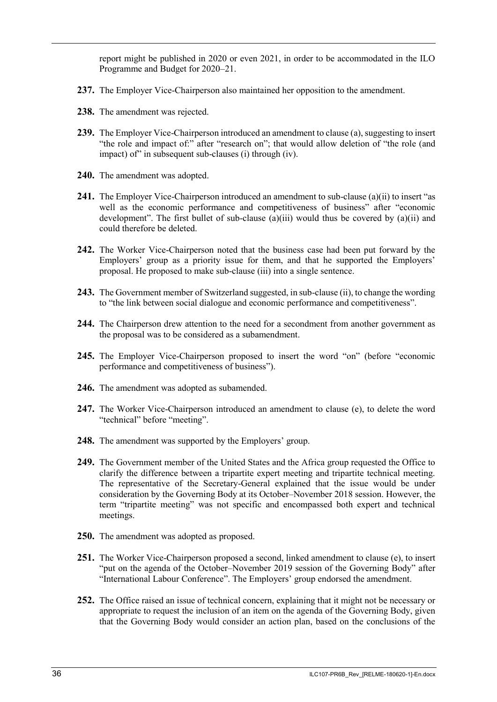report might be published in 2020 or even 2021, in order to be accommodated in the ILO Programme and Budget for 2020–21.

- **237.** The Employer Vice-Chairperson also maintained her opposition to the amendment.
- **238.** The amendment was rejected.
- **239.** The Employer Vice-Chairperson introduced an amendment to clause (a), suggesting to insert "the role and impact of:" after "research on"; that would allow deletion of "the role (and impact) of in subsequent sub-clauses (i) through (iv).
- **240.** The amendment was adopted.
- **241.** The Employer Vice-Chairperson introduced an amendment to sub-clause (a)(ii) to insert "as well as the economic performance and competitiveness of business" after "economic development". The first bullet of sub-clause  $(a)(iii)$  would thus be covered by  $(a)(ii)$  and could therefore be deleted.
- **242.** The Worker Vice-Chairperson noted that the business case had been put forward by the Employers' group as a priority issue for them, and that he supported the Employers' proposal. He proposed to make sub-clause (iii) into a single sentence.
- **243.** The Government member of Switzerland suggested, in sub-clause (ii), to change the wording to "the link between social dialogue and economic performance and competitiveness".
- **244.** The Chairperson drew attention to the need for a secondment from another government as the proposal was to be considered as a subamendment.
- **245.** The Employer Vice-Chairperson proposed to insert the word "on" (before "economic performance and competitiveness of business").
- **246.** The amendment was adopted as subamended.
- **247.** The Worker Vice-Chairperson introduced an amendment to clause (e), to delete the word "technical" before "meeting".
- **248.** The amendment was supported by the Employers' group.
- **249.** The Government member of the United States and the Africa group requested the Office to clarify the difference between a tripartite expert meeting and tripartite technical meeting. The representative of the Secretary-General explained that the issue would be under consideration by the Governing Body at its October–November 2018 session. However, the term "tripartite meeting" was not specific and encompassed both expert and technical meetings.
- **250.** The amendment was adopted as proposed.
- **251.** The Worker Vice-Chairperson proposed a second, linked amendment to clause (e), to insert "put on the agenda of the October–November 2019 session of the Governing Body" after "International Labour Conference". The Employers' group endorsed the amendment.
- **252.** The Office raised an issue of technical concern, explaining that it might not be necessary or appropriate to request the inclusion of an item on the agenda of the Governing Body, given that the Governing Body would consider an action plan, based on the conclusions of the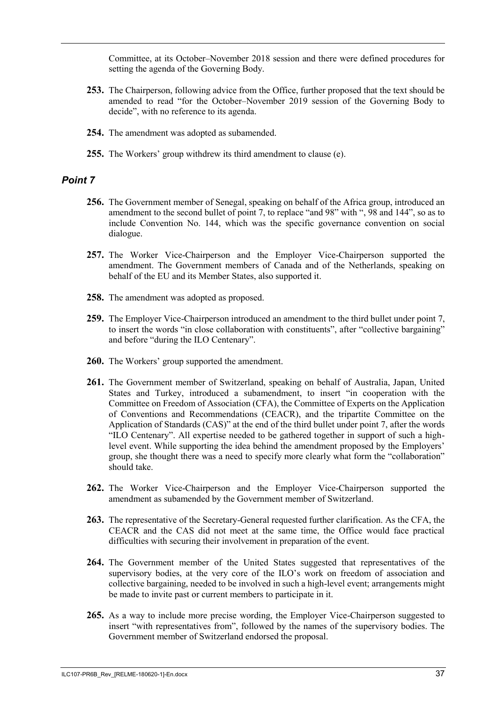Committee, at its October–November 2018 session and there were defined procedures for setting the agenda of the Governing Body.

- **253.** The Chairperson, following advice from the Office, further proposed that the text should be amended to read "for the October–November 2019 session of the Governing Body to decide", with no reference to its agenda.
- **254.** The amendment was adopted as subamended.
- **255.** The Workers' group withdrew its third amendment to clause (e).

- **256.** The Government member of Senegal, speaking on behalf of the Africa group, introduced an amendment to the second bullet of point 7, to replace "and 98" with ", 98 and 144", so as to include Convention No. 144, which was the specific governance convention on social dialogue.
- **257.** The Worker Vice-Chairperson and the Employer Vice-Chairperson supported the amendment. The Government members of Canada and of the Netherlands, speaking on behalf of the EU and its Member States, also supported it.
- **258.** The amendment was adopted as proposed.
- **259.** The Employer Vice-Chairperson introduced an amendment to the third bullet under point 7, to insert the words "in close collaboration with constituents", after "collective bargaining" and before "during the ILO Centenary".
- **260.** The Workers' group supported the amendment.
- **261.** The Government member of Switzerland, speaking on behalf of Australia, Japan, United States and Turkey, introduced a subamendment, to insert "in cooperation with the Committee on Freedom of Association (CFA), the Committee of Experts on the Application of Conventions and Recommendations (CEACR), and the tripartite Committee on the Application of Standards (CAS)" at the end of the third bullet under point 7, after the words "ILO Centenary". All expertise needed to be gathered together in support of such a highlevel event. While supporting the idea behind the amendment proposed by the Employers' group, she thought there was a need to specify more clearly what form the "collaboration" should take.
- **262.** The Worker Vice-Chairperson and the Employer Vice-Chairperson supported the amendment as subamended by the Government member of Switzerland.
- **263.** The representative of the Secretary-General requested further clarification. As the CFA, the CEACR and the CAS did not meet at the same time, the Office would face practical difficulties with securing their involvement in preparation of the event.
- **264.** The Government member of the United States suggested that representatives of the supervisory bodies, at the very core of the ILO's work on freedom of association and collective bargaining, needed to be involved in such a high-level event; arrangements might be made to invite past or current members to participate in it.
- **265.** As a way to include more precise wording, the Employer Vice-Chairperson suggested to insert "with representatives from", followed by the names of the supervisory bodies. The Government member of Switzerland endorsed the proposal.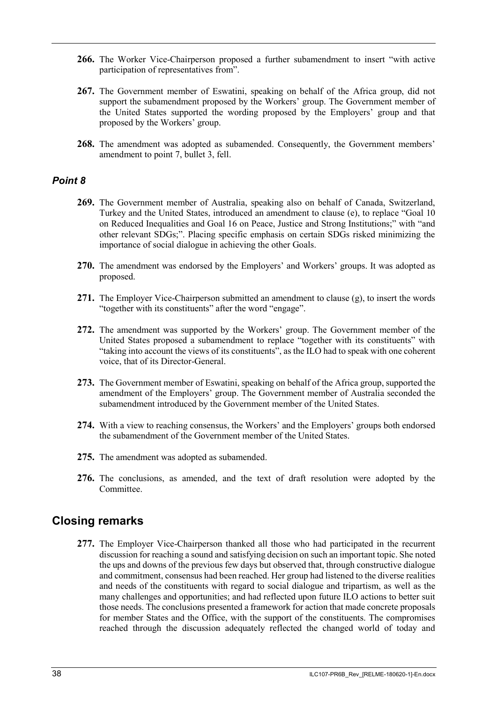- **266.** The Worker Vice-Chairperson proposed a further subamendment to insert "with active participation of representatives from".
- **267.** The Government member of Eswatini, speaking on behalf of the Africa group, did not support the subamendment proposed by the Workers' group. The Government member of the United States supported the wording proposed by the Employers' group and that proposed by the Workers' group.
- **268.** The amendment was adopted as subamended. Consequently, the Government members' amendment to point 7, bullet 3, fell.

#### *Point 8*

- **269.** The Government member of Australia, speaking also on behalf of Canada, Switzerland, Turkey and the United States, introduced an amendment to clause (e), to replace "Goal 10 on Reduced Inequalities and Goal 16 on Peace, Justice and Strong Institutions;" with "and other relevant SDGs;". Placing specific emphasis on certain SDGs risked minimizing the importance of social dialogue in achieving the other Goals.
- **270.** The amendment was endorsed by the Employers' and Workers' groups. It was adopted as proposed.
- **271.** The Employer Vice-Chairperson submitted an amendment to clause (g), to insert the words "together with its constituents" after the word "engage".
- **272.** The amendment was supported by the Workers' group. The Government member of the United States proposed a subamendment to replace "together with its constituents" with "taking into account the views of its constituents", as the ILO had to speak with one coherent voice, that of its Director-General.
- **273.** The Government member of Eswatini, speaking on behalf of the Africa group, supported the amendment of the Employers' group. The Government member of Australia seconded the subamendment introduced by the Government member of the United States.
- **274.** With a view to reaching consensus, the Workers' and the Employers' groups both endorsed the subamendment of the Government member of the United States.
- **275.** The amendment was adopted as subamended.
- **276.** The conclusions, as amended, and the text of draft resolution were adopted by the Committee.

#### <span id="page-39-0"></span>**Closing remarks**

**277.** The Employer Vice-Chairperson thanked all those who had participated in the recurrent discussion for reaching a sound and satisfying decision on such an important topic. She noted the ups and downs of the previous few days but observed that, through constructive dialogue and commitment, consensus had been reached. Her group had listened to the diverse realities and needs of the constituents with regard to social dialogue and tripartism, as well as the many challenges and opportunities; and had reflected upon future ILO actions to better suit those needs. The conclusions presented a framework for action that made concrete proposals for member States and the Office, with the support of the constituents. The compromises reached through the discussion adequately reflected the changed world of today and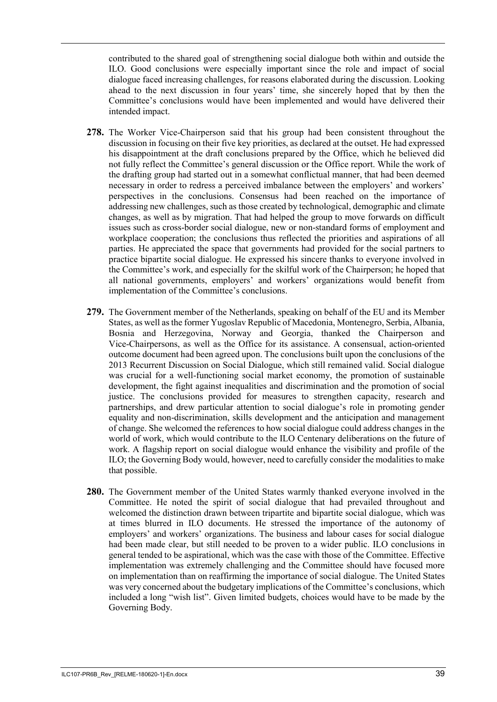contributed to the shared goal of strengthening social dialogue both within and outside the ILO. Good conclusions were especially important since the role and impact of social dialogue faced increasing challenges, for reasons elaborated during the discussion. Looking ahead to the next discussion in four years' time, she sincerely hoped that by then the Committee's conclusions would have been implemented and would have delivered their intended impact.

- **278.** The Worker Vice-Chairperson said that his group had been consistent throughout the discussion in focusing on their five key priorities, as declared at the outset. He had expressed his disappointment at the draft conclusions prepared by the Office, which he believed did not fully reflect the Committee's general discussion or the Office report. While the work of the drafting group had started out in a somewhat conflictual manner, that had been deemed necessary in order to redress a perceived imbalance between the employers' and workers' perspectives in the conclusions. Consensus had been reached on the importance of addressing new challenges, such as those created by technological, demographic and climate changes, as well as by migration. That had helped the group to move forwards on difficult issues such as cross-border social dialogue, new or non-standard forms of employment and workplace cooperation; the conclusions thus reflected the priorities and aspirations of all parties. He appreciated the space that governments had provided for the social partners to practice bipartite social dialogue. He expressed his sincere thanks to everyone involved in the Committee's work, and especially for the skilful work of the Chairperson; he hoped that all national governments, employers' and workers' organizations would benefit from implementation of the Committee's conclusions.
- **279.** The Government member of the Netherlands, speaking on behalf of the EU and its Member States, as well as the former Yugoslav Republic of Macedonia, Montenegro, Serbia, Albania, Bosnia and Herzegovina, Norway and Georgia, thanked the Chairperson and Vice-Chairpersons, as well as the Office for its assistance. A consensual, action-oriented outcome document had been agreed upon. The conclusions built upon the conclusions of the 2013 Recurrent Discussion on Social Dialogue, which still remained valid. Social dialogue was crucial for a well-functioning social market economy, the promotion of sustainable development, the fight against inequalities and discrimination and the promotion of social justice. The conclusions provided for measures to strengthen capacity, research and partnerships, and drew particular attention to social dialogue's role in promoting gender equality and non-discrimination, skills development and the anticipation and management of change. She welcomed the references to how social dialogue could address changes in the world of work, which would contribute to the ILO Centenary deliberations on the future of work. A flagship report on social dialogue would enhance the visibility and profile of the ILO; the Governing Body would, however, need to carefully consider the modalities to make that possible.
- **280.** The Government member of the United States warmly thanked everyone involved in the Committee. He noted the spirit of social dialogue that had prevailed throughout and welcomed the distinction drawn between tripartite and bipartite social dialogue, which was at times blurred in ILO documents. He stressed the importance of the autonomy of employers' and workers' organizations. The business and labour cases for social dialogue had been made clear, but still needed to be proven to a wider public. ILO conclusions in general tended to be aspirational, which was the case with those of the Committee. Effective implementation was extremely challenging and the Committee should have focused more on implementation than on reaffirming the importance of social dialogue. The United States was very concerned about the budgetary implications of the Committee's conclusions, which included a long "wish list". Given limited budgets, choices would have to be made by the Governing Body.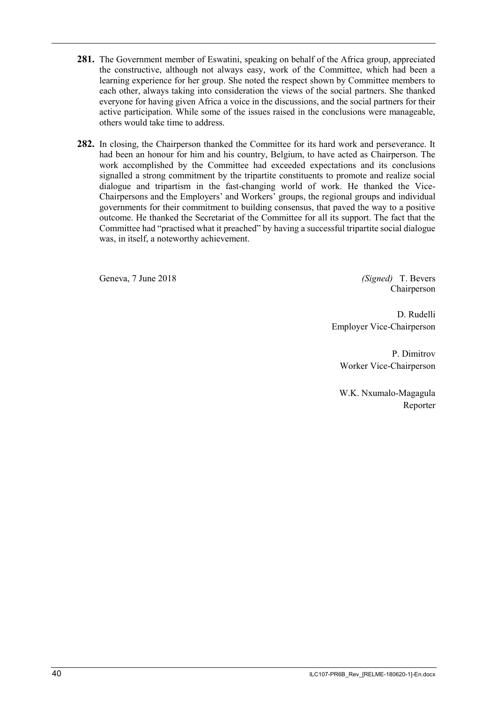- **281.** The Government member of Eswatini, speaking on behalf of the Africa group, appreciated the constructive, although not always easy, work of the Committee, which had been a learning experience for her group. She noted the respect shown by Committee members to each other, always taking into consideration the views of the social partners. She thanked everyone for having given Africa a voice in the discussions, and the social partners for their active participation. While some of the issues raised in the conclusions were manageable, others would take time to address.
- **282.** In closing, the Chairperson thanked the Committee for its hard work and perseverance. It had been an honour for him and his country, Belgium, to have acted as Chairperson. The work accomplished by the Committee had exceeded expectations and its conclusions signalled a strong commitment by the tripartite constituents to promote and realize social dialogue and tripartism in the fast-changing world of work. He thanked the Vice-Chairpersons and the Employers' and Workers' groups, the regional groups and individual governments for their commitment to building consensus, that paved the way to a positive outcome. He thanked the Secretariat of the Committee for all its support. The fact that the Committee had "practised what it preached" by having a successful tripartite social dialogue was, in itself, a noteworthy achievement.

<span id="page-41-0"></span>Geneva, 7 June 2018 *(Signed)* T. Bevers

Chairperson

D. Rudelli Employer Vice-Chairperson

P. Dimitrov Worker Vice-Chairperson

W.K. Nxumalo-Magagula Reporter